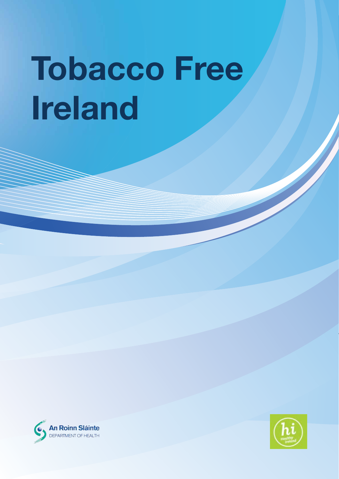# Tobacco Free Ireland



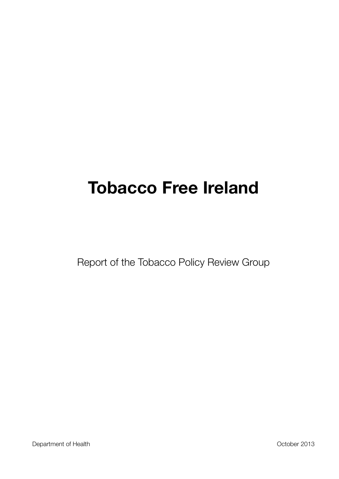## Tobacco Free Ireland

Report of the Tobacco Policy Review Group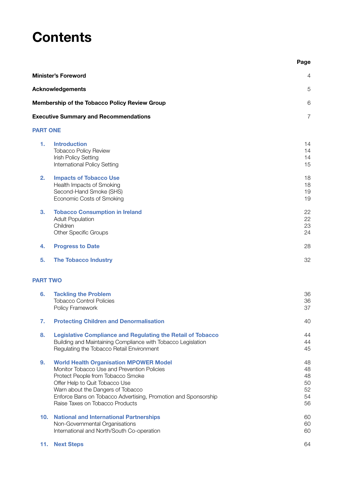## **Contents**

|                         |                                                                                                                                                                                                                                                                                                               | Page                                   |
|-------------------------|---------------------------------------------------------------------------------------------------------------------------------------------------------------------------------------------------------------------------------------------------------------------------------------------------------------|----------------------------------------|
|                         | <b>Minister's Foreword</b>                                                                                                                                                                                                                                                                                    | $\overline{4}$                         |
| <b>Acknowledgements</b> | 5                                                                                                                                                                                                                                                                                                             |                                        |
|                         | Membership of the Tobacco Policy Review Group                                                                                                                                                                                                                                                                 | 6                                      |
|                         | <b>Executive Summary and Recommendations</b>                                                                                                                                                                                                                                                                  | $\overline{7}$                         |
| <b>PART ONE</b>         |                                                                                                                                                                                                                                                                                                               |                                        |
| 1.                      | <b>Introduction</b><br><b>Tobacco Policy Review</b><br>Irish Policy Setting<br>International Policy Setting                                                                                                                                                                                                   | 14<br>14<br>14<br>15                   |
| 2.                      | <b>Impacts of Tobacco Use</b><br>Health Impacts of Smoking<br>Second-Hand Smoke (SHS)<br><b>Economic Costs of Smoking</b>                                                                                                                                                                                     | 18<br>18<br>19<br>19                   |
| 3.                      | <b>Tobacco Consumption in Ireland</b><br><b>Adult Population</b><br>Children<br><b>Other Specific Groups</b>                                                                                                                                                                                                  | 22<br>22<br>23<br>24                   |
| 4.                      | <b>Progress to Date</b>                                                                                                                                                                                                                                                                                       | 28                                     |
| 5.                      | <b>The Tobacco Industry</b>                                                                                                                                                                                                                                                                                   | 32                                     |
| <b>PART TWO</b>         |                                                                                                                                                                                                                                                                                                               |                                        |
| 6.                      | <b>Tackling the Problem</b><br><b>Tobacco Control Policies</b><br>Policy Framework                                                                                                                                                                                                                            | 36<br>36<br>37                         |
| 7.                      | <b>Protecting Children and Denormalisation</b>                                                                                                                                                                                                                                                                | 40                                     |
| 8.                      | <b>Legislative Compliance and Regulating the Retail of Tobacco</b><br>Building and Maintaining Compliance with Tobacco Legislation<br>Regulating the Tobacco Retail Environment                                                                                                                               | 44<br>44<br>45                         |
| 9.                      | <b>World Health Organisation MPOWER Model</b><br>Monitor Tobacco Use and Prevention Policies<br>Protect People from Tobacco Smoke<br>Offer Help to Quit Tobacco Use<br>Warn about the Dangers of Tobacco<br>Enforce Bans on Tobacco Advertising, Promotion and Sponsorship<br>Raise Taxes on Tobacco Products | 48<br>48<br>48<br>50<br>52<br>54<br>56 |
| 10.                     | <b>National and International Partnerships</b><br>Non-Governmental Organisations<br>International and North/South Co-operation                                                                                                                                                                                | 60<br>60<br>60                         |
| 11.                     | <b>Next Steps</b>                                                                                                                                                                                                                                                                                             | 64                                     |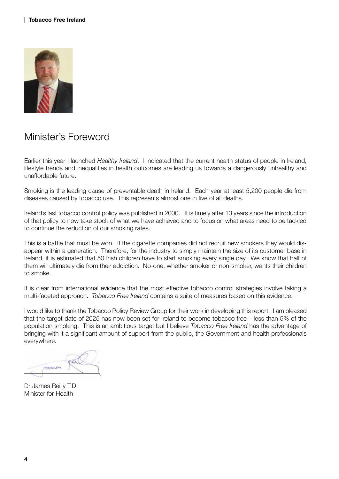

### Minister's Foreword

Earlier this year I launched *Healthy Ireland*. I indicated that the current health status of people in Ireland, lifestyle trends and inequalities in health outcomes are leading us towards a dangerously unhealthy and unaffordable future.

Smoking is the leading cause of preventable death in Ireland. Each year at least 5,200 people die from diseases caused by tobacco use. This represents almost one in five of all deaths.

Ireland's last tobacco control policy was published in 2000. It is timely after 13 years since the introduction of that policy to now take stock of what we have achieved and to focus on what areas need to be tackled to continue the reduction of our smoking rates.

This is a battle that must be won. If the cigarette companies did not recruit new smokers they would disappear within a generation. Therefore, for the industry to simply maintain the size of its customer base in Ireland, it is estimated that 50 Irish children have to start smoking every single day. We know that half of them will ultimately die from their addiction. No-one, whether smoker or non-smoker, wants their children to smoke.

It is clear from international evidence that the most effective tobacco control strategies involve taking a multi-faceted approach. *Tobacco Free Ireland* contains a suite of measures based on this evidence.

I would like to thank the Tobacco Policy Review Group for their work in developing this report. I am pleased that the target date of 2025 has now been set for Ireland to become tobacco free – less than 5% of the population smoking. This is an ambitious target but I believe *Tobacco Free Ireland* has the advantage of bringing with it a significant amount of support from the public, the Government and health professionals everywhere.

 $\sim$ 

Dr James Reilly T.D. Minister for Health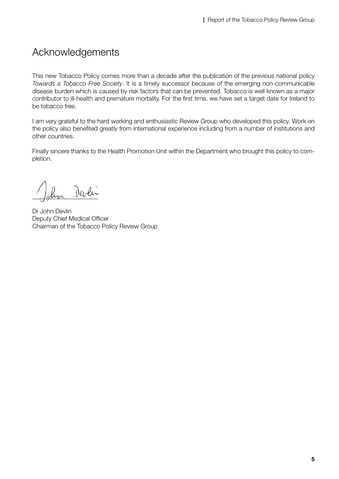### Acknowledgements

This new Tobacco Policy comes more than a decade after the publication of the previous national policy *Towards a Tobacco Free Society*. It is a timely successor because of the emerging non-communicable disease burden which is caused by risk factors that can be prevented. Tobacco is well known as a major contributor to ill-health and premature mortality. For the first time, we have set a target date for Ireland to be tobacco free.

I am very grateful to the hard working and enthusiastic Review Group who developed this policy. Work on the policy also benefited greatly from international experience including from a number of institutions and other countries.

Finally sincere thanks to the Health Promotion Unit within the Department who brought this policy to completion.

Devli

Dr John Devlin Deputy Chief Medical Officer Chairman of the Tobacco Policy Review Group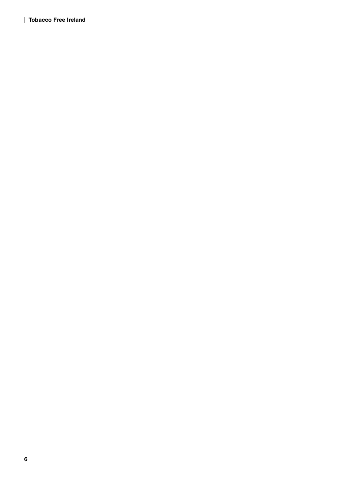| Tobacco Free Ireland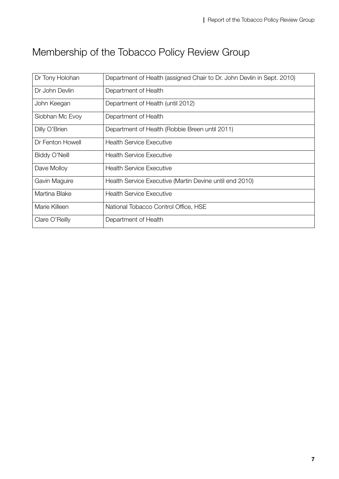### Membership of the Tobacco Policy Review Group

| Dr Tony Holohan  | Department of Health (assigned Chair to Dr. John Devlin in Sept. 2010) |
|------------------|------------------------------------------------------------------------|
| Dr John Devlin   | Department of Health                                                   |
| John Keegan      | Department of Health (until 2012)                                      |
| Siobhan Mc Evoy  | Department of Health                                                   |
| Dilly O'Brien    | Department of Health (Robbie Breen until 2011)                         |
| Dr Fenton Howell | <b>Health Service Executive</b>                                        |
| Biddy O'Neill    | <b>Health Service Executive</b>                                        |
| Dave Molloy      | <b>Health Service Executive</b>                                        |
| Gavin Maguire    | Health Service Executive (Martin Devine until end 2010)                |
| Martina Blake    | <b>Health Service Executive</b>                                        |
| Marie Killeen    | National Tobacco Control Office, HSE                                   |
| Clare O'Reilly   | Department of Health                                                   |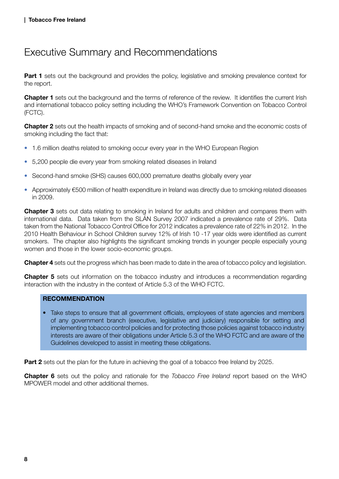### Executive Summary and Recommendations

Part 1 sets out the background and provides the policy, legislative and smoking prevalence context for the report.

**Chapter 1** sets out the background and the terms of reference of the review. It identifies the current Irish and international tobacco policy setting including the WHO's Framework Convention on Tobacco Control (FCTC).

**Chapter 2** sets out the health impacts of smoking and of second-hand smoke and the economic costs of smoking including the fact that:

- 1.6 million deaths related to smoking occur every year in the WHO European Region
- 5,200 people die every year from smoking related diseases in Ireland
- Second-hand smoke (SHS) causes 600,000 premature deaths globally every year
- Approximately €500 million of health expenditure in Ireland was directly due to smoking related diseases in 2009.

**Chapter 3** sets out data relating to smoking in Ireland for adults and children and compares them with international data. Data taken from the SLÁN Survey 2007 indicated a prevalence rate of 29%. Data taken from the National Tobacco Control Office for 2012 indicates a prevalence rate of 22% in 2012. In the 2010 Health Behaviour in School Children survey 12% of Irish 10 -17 year olds were identified as current smokers. The chapter also highlights the significant smoking trends in younger people especially young women and those in the lower socio-economic groups.

**Chapter 4** sets out the progress which has been made to date in the area of tobacco policy and legislation.

**Chapter 5** sets out information on the tobacco industry and introduces a recommendation regarding interaction with the industry in the context of Article 5.3 of the WHO FCTC.

#### **RECOMMENDATION**

• Take steps to ensure that all government officials, employees of state agencies and members of any government branch (executive, legislative and judiciary) responsible for setting and implementing tobacco control policies and for protecting those policies against tobacco industry interests are aware of their obligations under Article 5.3 of the WHO FCTC and are aware of the Guidelines developed to assist in meeting these obligations.

**Part 2** sets out the plan for the future in achieving the goal of a tobacco free Ireland by 2025.

Chapter 6 sets out the policy and rationale for the *Tobacco Free Ireland* report based on the WHO MPOWER model and other additional themes.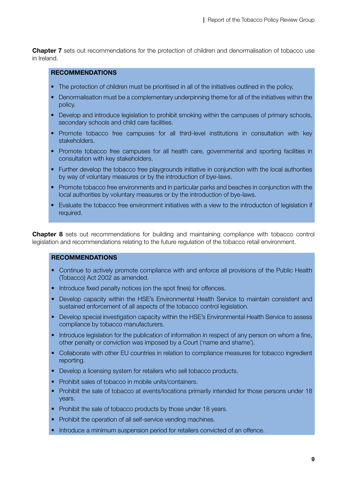**Chapter 7** sets out recommendations for the protection of children and denormalisation of tobacco use in Ireland.

#### RECOMMENDATIONS

- The protection of children must be prioritised in all of the initiatives outlined in the policy.
- Denormalisation must be a complementary underpinning theme for all of the initiatives within the policy.
- Develop and introduce legislation to prohibit smoking within the campuses of primary schools, secondary schools and child care facilities.
- Promote tobacco free campuses for all third-level institutions in consultation with key stakeholders.
- Promote tobacco free campuses for all health care, governmental and sporting facilities in consultation with key stakeholders.
- Further develop the tobacco free playgrounds initiative in conjunction with the local authorities by way of voluntary measures or by the introduction of bye-laws.
- Promote tobacco free environments and in particular parks and beaches in conjunction with the local authorities by voluntary measures or by the introduction of bye-laws.
- Evaluate the tobacco free environment initiatives with a view to the introduction of legislation if required.

**Chapter 8** sets out recommendations for building and maintaining compliance with tobacco control legislation and recommendations relating to the future regulation of the tobacco retail environment.

#### RECOMMENDATIONS

- Continue to actively promote compliance with and enforce all provisions of the Public Health (Tobacco) Act 2002 as amended.
- Introduce fixed penalty notices (on the spot fines) for offences.
- Develop capacity within the HSE's Environmental Health Service to maintain consistent and sustained enforcement of all aspects of the tobacco control legislation.
- Develop special investigation capacity within the HSE's Environmental Health Service to assess compliance by tobacco manufacturers.
- Introduce legislation for the publication of information in respect of any person on whom a fine, other penalty or conviction was imposed by a Court ('name and shame').
- Collaborate with other EU countries in relation to compliance measures for tobacco ingredient reporting.
- Develop a licensing system for retailers who sell tobacco products.
- Prohibit sales of tobacco in mobile units/containers.
- Prohibit the sale of tobacco at events/locations primarily intended for those persons under 18 years.
- Prohibit the sale of tobacco products by those under 18 years.
- Prohibit the operation of all self-service vending machines.
- Introduce a minimum suspension period for retailers convicted of an offence.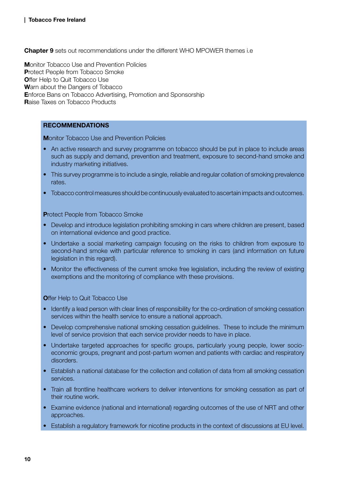**Chapter 9** sets out recommendations under the different WHO MPOWER themes i.e.

**Monitor Tobacco Use and Prevention Policies** Protect People from Tobacco Smoke **Offer Help to Quit Tobacco Use** Warn about the Dangers of Tobacco Enforce Bans on Tobacco Advertising, Promotion and Sponsorship Raise Taxes on Tobacco Products

#### RECOMMENDATIONS

**Monitor Tobacco Use and Prevention Policies** 

- An active research and survey programme on tobacco should be put in place to include areas such as supply and demand, prevention and treatment, exposure to second-hand smoke and industry marketing initiatives.
- This survey programme is to include a single, reliable and regular collation of smoking prevalence rates.
- Tobacco control measures should be continuously evaluated to ascertain impacts and outcomes.

Protect People from Tobacco Smoke

- Develop and introduce legislation prohibiting smoking in cars where children are present, based on international evidence and good practice.
- Undertake a social marketing campaign focusing on the risks to children from exposure to second-hand smoke with particular reference to smoking in cars (and information on future legislation in this regard).
- Monitor the effectiveness of the current smoke free legislation, including the review of existing exemptions and the monitoring of compliance with these provisions.

**Offer Help to Quit Tobacco Use** 

- Identify a lead person with clear lines of responsibility for the co-ordination of smoking cessation services within the health service to ensure a national approach.
- Develop comprehensive national smoking cessation guidelines. These to include the minimum level of service provision that each service provider needs to have in place.
- Undertake targeted approaches for specific groups, particularly young people, lower socioeconomic groups, pregnant and post-partum women and patients with cardiac and respiratory disorders.
- Establish a national database for the collection and collation of data from all smoking cessation services.
- Train all frontline healthcare workers to deliver interventions for smoking cessation as part of their routine work.
- Examine evidence (national and international) regarding outcomes of the use of NRT and other approaches.
- Establish a regulatory framework for nicotine products in the context of discussions at EU level.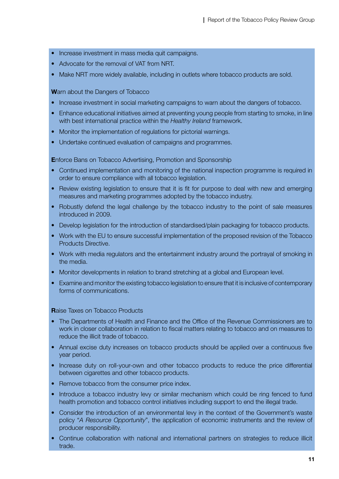- Increase investment in mass media quit campaigns.
- Advocate for the removal of VAT from NRT.
- Make NRT more widely available, including in outlets where tobacco products are sold.

Warn about the Dangers of Tobacco

- Increase investment in social marketing campaigns to warn about the dangers of tobacco.
- Enhance educational initiatives aimed at preventing young people from starting to smoke, in line with best international practice within the *Healthy Ireland* framework.
- Monitor the implementation of regulations for pictorial warnings.
- Undertake continued evaluation of campaigns and programmes.

Enforce Bans on Tobacco Advertising, Promotion and Sponsorship

- Continued implementation and monitoring of the national inspection programme is required in order to ensure compliance with all tobacco legislation.
- Review existing legislation to ensure that it is fit for purpose to deal with new and emerging measures and marketing programmes adopted by the tobacco industry.
- Robustly defend the legal challenge by the tobacco industry to the point of sale measures introduced in 2009.
- Develop legislation for the introduction of standardised/plain packaging for tobacco products.
- Work with the EU to ensure successful implementation of the proposed revision of the Tobacco Products Directive.
- Work with media regulators and the entertainment industry around the portrayal of smoking in the media.
- Monitor developments in relation to brand stretching at a global and European level.
- Examine and monitor the existing tobacco legislation to ensure that it is inclusive of contemporary forms of communications.

Raise Taxes on Tobacco Products

- The Departments of Health and Finance and the Office of the Revenue Commissioners are to work in closer collaboration in relation to fiscal matters relating to tobacco and on measures to reduce the illicit trade of tobacco.
- Annual excise duty increases on tobacco products should be applied over a continuous five year period.
- Increase duty on roll-your-own and other tobacco products to reduce the price differential between cigarettes and other tobacco products.
- Remove tobacco from the consumer price index.
- Introduce a tobacco industry levy or similar mechanism which could be ring fenced to fund health promotion and tobacco control initiatives including support to end the illegal trade.
- Consider the introduction of an environmental levy in the context of the Government's waste policy "*A Resource Opportunity*", the application of economic instruments and the review of producer responsibility.
- Continue collaboration with national and international partners on strategies to reduce illicit trade.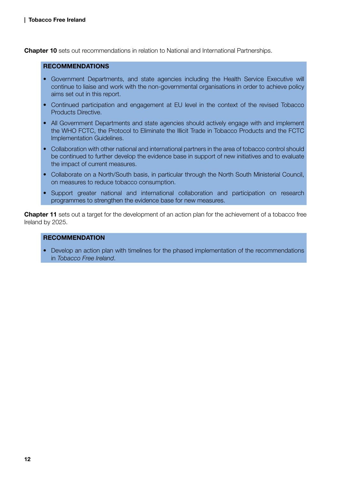**Chapter 10** sets out recommendations in relation to National and International Partnerships.

#### **RECOMMENDATIONS**

- Government Departments, and state agencies including the Health Service Executive will continue to liaise and work with the non-governmental organisations in order to achieve policy aims set out in this report.
- Continued participation and engagement at EU level in the context of the revised Tobacco Products Directive.
- All Government Departments and state agencies should actively engage with and implement the WHO FCTC, the Protocol to Eliminate the Illicit Trade in Tobacco Products and the FCTC Implementation Guidelines.
- Collaboration with other national and international partners in the area of tobacco control should be continued to further develop the evidence base in support of new initiatives and to evaluate the impact of current measures.
- Collaborate on a North/South basis, in particular through the North South Ministerial Council, on measures to reduce tobacco consumption.
- Support greater national and international collaboration and participation on research programmes to strengthen the evidence base for new measures.

**Chapter 11** sets out a target for the development of an action plan for the achievement of a tobacco free Ireland by 2025.

#### **RECOMMENDATION**

• Develop an action plan with timelines for the phased implementation of the recommendations in *Tobacco Free Ireland*.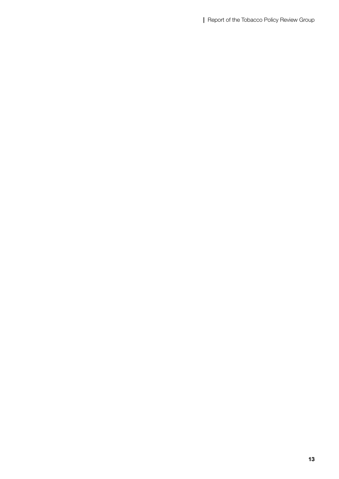| Report of the Tobacco Policy Review Group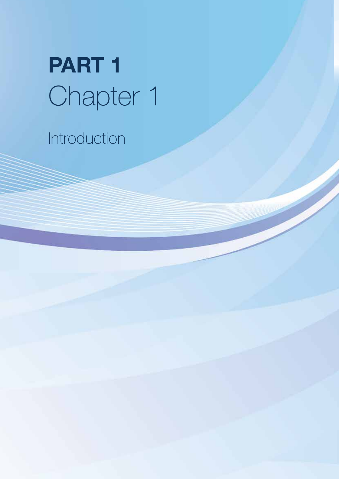# PART 1 Chapter 1

Introduction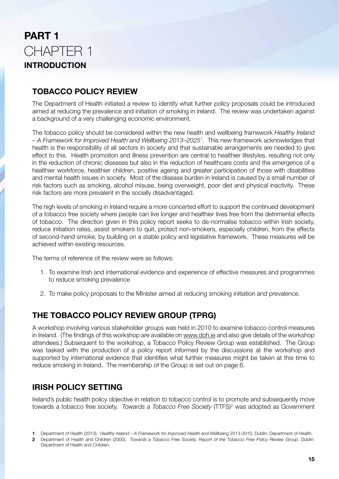### PART 1 CHAPTER 1 INTRODUCTION

#### TOBACCO POLICY REVIEW

The Department of Health initiated a review to identify what further policy proposals could be introduced aimed at reducing the prevalence and initiation of smoking in Ireland. The review was undertaken against a background of a very challenging economic environment.

The tobacco policy should be considered within the new health and wellbeing framework *Healthy Ireland – A Framework for Improved Health and Wellbeing 2013–20251* . This new framework acknowledges that health is the responsibility of all sectors in society and that sustainable arrangements are needed to give effect to this. Health promotion and illness prevention are central to healthier lifestyles, resulting not only in the reduction of chronic diseases but also in the reduction of healthcare costs and the emergence of a healthier workforce, healthier children, positive ageing and greater participation of those with disabilities and mental health issues in society. Most of the disease burden in Ireland is caused by a small number of risk factors such as smoking, alcohol misuse, being overweight, poor diet and physical inactivity. These risk factors are more prevalent in the socially disadvantaged.

The high levels of smoking in Ireland require a more concerted effort to support the continued development of a tobacco free society where people can live longer and healthier lives free from the detrimental effects of tobacco. The direction given in this policy report seeks to de-normalise tobacco within Irish society, reduce initiation rates, assist smokers to quit, protect non-smokers, especially children, from the effects of second-hand smoke, by building on a stable policy and legislative framework. These measures will be achieved within existing resources.

The terms of reference of the review were as follows:

- 1. To examine Irish and international evidence and experience of effective measures and programmes to reduce smoking prevalence
- 2. To make policy proposals to the Minister aimed at reducing smoking initiation and prevalence.

#### THE TOBACCO POLICY REVIEW GROUP (TPRG)

A workshop involving various stakeholder groups was held in 2010 to examine tobacco control measures in Ireland. (The findings of this workshop are available on www.doh.ie and also give details of the workshop attendees.) Subsequent to the workshop, a Tobacco Policy Review Group was established. The Group was tasked with the production of a policy report informed by the discussions at the workshop and supported by international evidence that identifies what further measures might be taken at this time to reduce smoking in Ireland. The membership of the Group is set out on page 6.

#### IRISH POLICY SETTING

Ireland's public health policy objective in relation to tobacco control is to promote and subsequently move towards a tobacco free society. *Towards a Tobacco Free Society* (TTFS)<sup>2</sup> was adopted as Government

<sup>1</sup> Department of Health (2013). *Healthy Ireland – A Framework for Improved Health* and Wellbeing 2013-2015: Dublin: Department of Health.

<sup>2</sup> Department of Health and Children (2000). *Towards a Tobacco Free Society, Report of the Tobacco Free Policy Review Group*. Dublin: Department of Health and Children.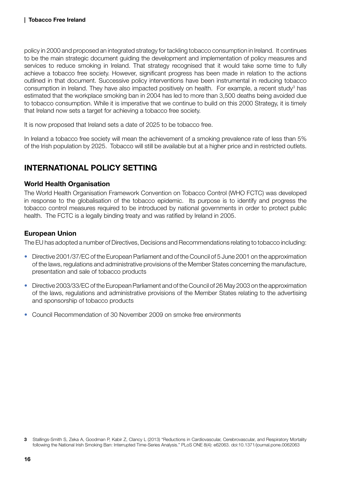policy in 2000 and proposed an integrated strategy for tackling tobacco consumption in Ireland. It continues to be the main strategic document guiding the development and implementation of policy measures and services to reduce smoking in Ireland. That strategy recognised that it would take some time to fully achieve a tobacco free society. However, significant progress has been made in relation to the actions outlined in that document. Successive policy interventions have been instrumental in reducing tobacco consumption in Ireland. They have also impacted positively on health. For example, a recent study<sup>3</sup> has estimated that the workplace smoking ban in 2004 has led to more than 3,500 deaths being avoided due to tobacco consumption. While it is imperative that we continue to build on this 2000 Strategy, it is timely that Ireland now sets a target for achieving a tobacco free society.

It is now proposed that Ireland sets a date of 2025 to be tobacco free.

In Ireland a tobacco free society will mean the achievement of a smoking prevalence rate of less than 5% of the Irish population by 2025. Tobacco will still be available but at a higher price and in restricted outlets.

#### INTERNATIONAL POLICY SETTING

#### World Health Organisation

The World Health Organisation Framework Convention on Tobacco Control (WHO FCTC) was developed in response to the globalisation of the tobacco epidemic. Its purpose is to identify and progress the tobacco control measures required to be introduced by national governments in order to protect public health. The FCTC is a legally binding treaty and was ratified by Ireland in 2005.

#### European Union

The EU has adopted a number of Directives, Decisions and Recommendations relating to tobacco including:

- Directive 2001/37/EC of the European Parliament and of the Council of 5 June 2001 on the approximation of the laws, regulations and administrative provisions of the Member States concerning the manufacture, presentation and sale of tobacco products
- Directive 2003/33/EC of the European Parliament and of the Council of 26 May 2003 on the approximation of the laws, regulations and administrative provisions of the Member States relating to the advertising and sponsorship of tobacco products
- Council Recommendation of 30 November 2009 on smoke free environments

<sup>3</sup> Stallings-Smith S, Zeka A, Goodman P, Kabir Z, Clancy L (2013) "Reductions in Cardiovascular, Cerebrovascular, and Respiratory Mortality following the National Irish Smoking Ban: Interrupted Time-Series Analysis." PLoS ONE 8(4): e62063. doi:10.1371/journal.pone.0062063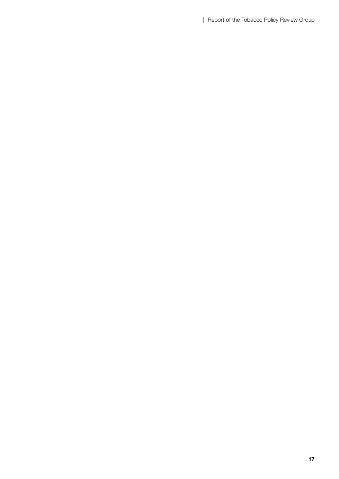| Report of the Tobacco Policy Review Group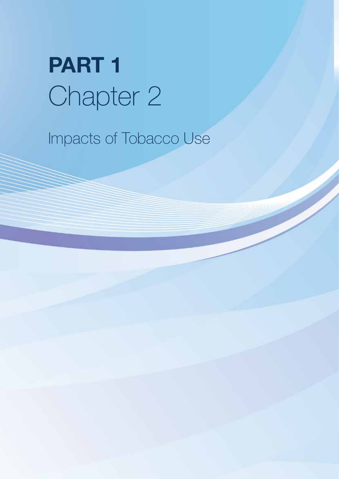# PART 1 Chapter 2

## Impacts of Tobacco Use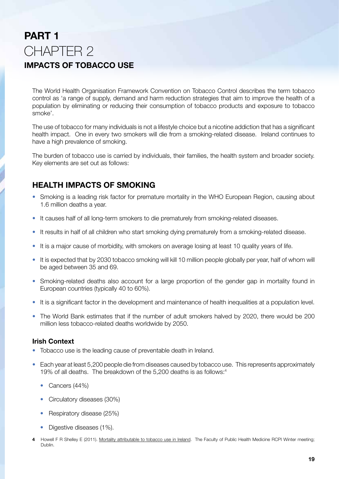### PART 1 CHAPTER 2 IMPACTS OF TOBACCO USE

The World Health Organisation Framework Convention on Tobacco Control describes the term tobacco control as 'a range of supply, demand and harm reduction strategies that aim to improve the health of a population by eliminating or reducing their consumption of tobacco products and exposure to tobacco smoke'.

The use of tobacco for many individuals is not a lifestyle choice but a nicotine addiction that has a significant health impact. One in every two smokers will die from a smoking-related disease. Ireland continues to have a high prevalence of smoking.

The burden of tobacco use is carried by individuals, their families, the health system and broader society. Key elements are set out as follows:

#### HEALTH IMPACTS OF SMOKING

- Smoking is a leading risk factor for premature mortality in the WHO European Region, causing about 1.6 million deaths a year.
- It causes half of all long-term smokers to die prematurely from smoking-related diseases.
- It results in half of all children who start smoking dying prematurely from a smoking-related disease.
- It is a major cause of morbidity, with smokers on average losing at least 10 quality years of life.
- It is expected that by 2030 tobacco smoking will kill 10 million people globally per year, half of whom will be aged between 35 and 69.
- Smoking-related deaths also account for a large proportion of the gender gap in mortality found in European countries (typically 40 to 60%).
- It is a significant factor in the development and maintenance of health inequalities at a population level.
- The World Bank estimates that if the number of adult smokers halved by 2020, there would be 200 million less tobacco-related deaths worldwide by 2050.

#### Irish Context

- Tobacco use is the leading cause of preventable death in Ireland.
- Each year at least 5,200 people die from diseases caused by tobacco use. This represents approximately 19% of all deaths. The breakdown of the 5,200 deaths is as follows:4
	- Cancers (44%)
	- Circulatory diseases (30%)
	- Respiratory disease (25%)
	- Digestive diseases (1%).
- Howell F R Shelley E (2011). Mortality attributable to tobacco use in Ireland. The Faculty of Public Health Medicine RCPI Winter meeting; Dublin.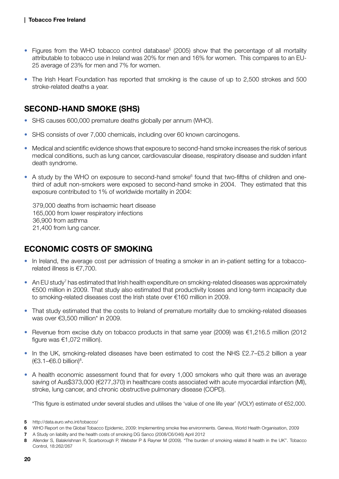- Figures from the WHO tobacco control database<sup>5</sup> (2005) show that the percentage of all mortality attributable to tobacco use in Ireland was 20% for men and 16% for women. This compares to an EU-25 average of 23% for men and 7% for women.
- The Irish Heart Foundation has reported that smoking is the cause of up to 2,500 strokes and 500 stroke-related deaths a year.

#### SECOND-HAND SMOKE (SHS)

- SHS causes 600,000 premature deaths globally per annum (WHO).
- SHS consists of over 7,000 chemicals, including over 60 known carcinogens.
- Medical and scientific evidence shows that exposure to second-hand smoke increases the risk of serious medical conditions, such as lung cancer, cardiovascular disease, respiratory disease and sudden infant death syndrome.
- A study by the WHO on exposure to second-hand smoke<sup>6</sup> found that two-fifths of children and onethird of adult non-smokers were exposed to second-hand smoke in 2004. They estimated that this exposure contributed to 1% of worldwide mortality in 2004:

379,000 deaths from ischaemic heart disease 165,000 from lower respiratory infections 36,900 from asthma 21,400 from lung cancer.

#### ECONOMIC COSTS OF SMOKING

- In Ireland, the average cost per admission of treating a smoker in an in-patient setting for a tobaccorelated illness is €7,700.
- An EU study<sup>7</sup> has estimated that Irish health expenditure on smoking-related diseases was approximately €500 million in 2009. That study also estimated that productivity losses and long-term incapacity due to smoking-related diseases cost the Irish state over €160 million in 2009.
- That study estimated that the costs to Ireland of premature mortality due to smoking-related diseases was over €3,500 million\* in 2009.
- Revenue from excise duty on tobacco products in that same year (2009) was €1,216.5 million (2012 figure was €1,072 million).
- In the UK, smoking-related diseases have been estimated to cost the NHS £2.7–£5.2 billion a vear (€3.1–€6.0 billion)8 .
- A health economic assessment found that for every 1,000 smokers who quit there was an average saving of Aus\$373,000 (€277,370) in healthcare costs associated with acute myocardial infarction (MI), stroke, lung cancer, and chronic obstructive pulmonary disease (COPD).

\*This figure is estimated under several studies and utilises the 'value of one life year' (VOLY) estimate of €52,000.

<sup>5</sup> http://data.euro.who.int/tobacco/

<sup>6</sup> WHO Report on the Global Tobacco Epidemic, 2009: Implementing smoke free environments. Geneva, World Health Organisation, 2009

<sup>7</sup> A Study on liability and the health costs of smoking DG Sanco (2008/C6/046) April 2012

<sup>8</sup> Allender S, Balakrishnan R, Scarborough P, Webster P & Rayner M (2009). "The burden of smoking related ill health in the UK". Tobacco Control, 18:262/267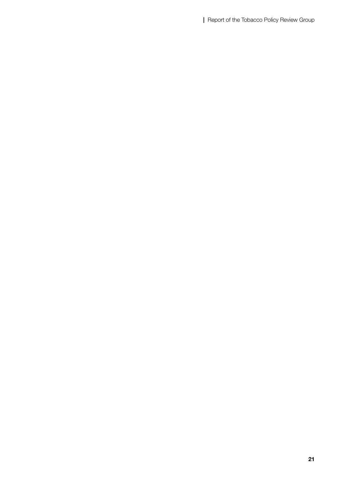| Report of the Tobacco Policy Review Group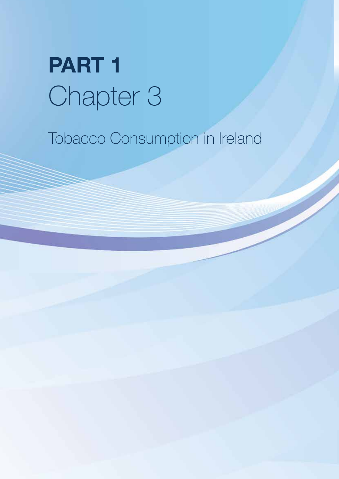## PART<sub>1</sub> Chapter 3

## Tobacco Consumption in Ireland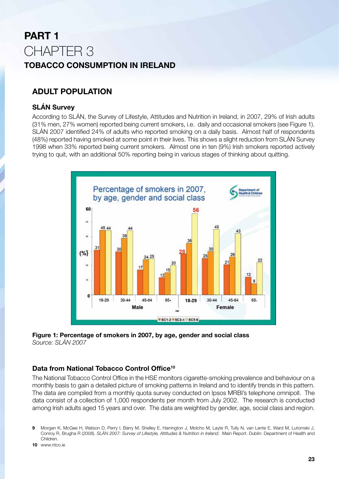### PART 1 CHAPTER 3 TOBACCO CONSUMPTION IN IRELAND

#### ADULT POPULATION

#### SLÁN Survey

According to SLÁN, the Survey of Lifestyle, Attitudes and Nutrition in Ireland, in 2007, 29% of Irish adults (31% men, 27% women) reported being current smokers, i.e. daily and occasional smokers (see Figure 1). SLÁN 2007 identified 24% of adults who reported smoking on a daily basis. Almost half of respondents (48%) reported having smoked at some point in their lives. This shows a slight reduction from SLÁN Survey 1998 when 33% reported being current smokers. Almost one in ten (9%) Irish smokers reported actively trying to quit, with an additional 50% reporting being in various stages of thinking about quitting.



Figure 1: Percentage of smokers in 2007, by age, gender and social class *Source: SLÁN 2007*

#### Data from National Tobacco Control Office<sup>10</sup>

The National Tobacco Control Office in the HSE monitors cigarette-smoking prevalence and behaviour on a monthly basis to gain a detailed picture of smoking patterns in Ireland and to identify trends in this pattern. The data are compiled from a monthly quota survey conducted on Ipsos MRBI's telephone omnipoll. The data consist of a collection of 1,000 respondents per month from July 2002. The research is conducted among Irish adults aged 15 years and over. The data are weighted by gender, age, social class and region.

<sup>9</sup> Morgan K, McGee H, Watson D, Perry I, Barry M, Shelley E, Harrington J, Molcho M, Layte R, Tully N, van Lente E, Ward M, Lutomski J, Conroy R, Brugha R (2008). *SLÁN 2007: Survey of Lifestyle, Attitudes & Nutrition in Ireland*. Main Report. Dublin: Department of Health and Children.

<sup>10</sup> www.ntco.ie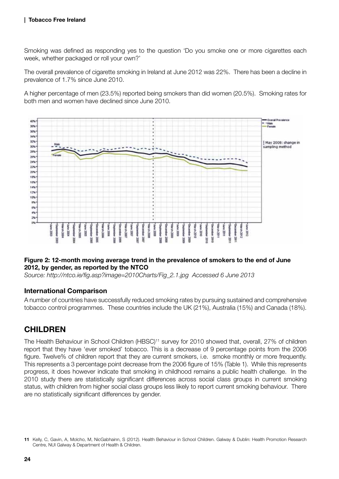Smoking was defined as responding yes to the question 'Do you smoke one or more cigarettes each week, whether packaged or roll your own?'

The overall prevalence of cigarette smoking in Ireland at June 2012 was 22%. There has been a decline in prevalence of 1.7% since June 2010.

A higher percentage of men (23.5%) reported being smokers than did women (20.5%). Smoking rates for both men and women have declined since June 2010.



#### Figure 2: 12-month moving average trend in the prevalence of smokers to the end of June 2012, by gender, as reported by the NTCO

*Source: http://ntco.ie/fig.asp?image=2010Charts/Fig\_2.1.jpg Accessed 6 June 2013*

#### International Comparison

A number of countries have successfully reduced smoking rates by pursuing sustained and comprehensive tobacco control programmes. These countries include the UK (21%), Australia (15%) and Canada (18%).

#### CHILDREN

The Health Behaviour in School Children (HBSC)<sup>11</sup> survey for 2010 showed that, overall, 27% of children report that they have 'ever smoked' tobacco. This is a decrease of 9 percentage points from the 2006 figure. Twelve% of children report that they are current smokers, i.e. smoke monthly or more frequently. This represents a 3 percentage point decrease from the 2006 figure of 15% (Table 1). While this represents progress, it does however indicate that smoking in childhood remains a public health challenge. In the 2010 study there are statistically significant differences across social class groups in current smoking status, with children from higher social class groups less likely to report current smoking behaviour. There are no statistically significant differences by gender.

<sup>11</sup> Kelly, C, Gavin, A, Molcho, M, NicGabhainn, S (2012). Health Behaviour in School Children. Galway & Dublin: Health Promotion Research Centre, NUI Galway & Department of Health & Children.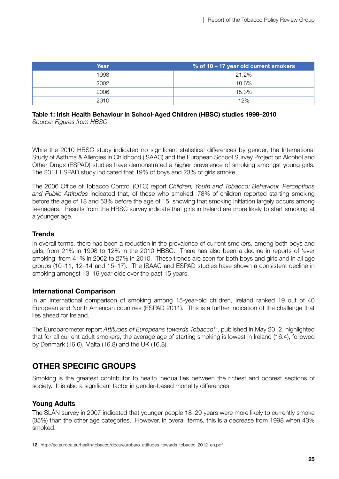| Year | % of 10 – 17 year old current smokers |
|------|---------------------------------------|
| 1998 | 21.2%                                 |
| 2002 | 18.6%                                 |
| 2006 | 15.3%                                 |
| 2010 | 12%                                   |

Table 1: Irish Health Behaviour in School-Aged Children (HBSC) studies 1998–2010 *Source: Figures from HBSC*

While the 2010 HBSC study indicated no significant statistical differences by gender, the International Study of Asthma & Allergies in Childhood (ISAAC) and the European School Survey Project on Alcohol and Other Drugs (ESPAD) studies have demonstrated a higher prevalence of smoking amongst young girls. The 2011 ESPAD study indicated that 19% of boys and 23% of girls smoke.

The 2006 Office of Tobacco Control (OTC) report *Children, Youth and Tobacco: Behaviour, Perceptions and Public Attitudes* indicated that, of those who smoked, 78% of children reported starting smoking before the age of 18 and 53% before the age of 15, showing that smoking initiation largely occurs among teenagers. Results from the HBSC survey indicate that girls in Ireland are more likely to start smoking at a younger age.

#### **Trends**

In overall terms, there has been a reduction in the prevalence of current smokers, among both boys and girls, from 21% in 1998 to 12% in the 2010 HBSC. There has also been a decline in reports of 'ever smoking' from 41% in 2002 to 27% in 2010. These trends are seen for both boys and girls and in all age groups (10–11, 12–14 and 15–17). The ISAAC and ESPAD studies have shown a consistent decline in smoking amongst 13–16 year olds over the past 15 years.

#### International Comparison

In an international comparison of smoking among 15-year-old children, Ireland ranked 19 out of 40 European and North American countries (ESPAD 2011). This is a further indication of the challenge that lies ahead for Ireland.

The Eurobarometer report *Attitudes of Europeans towards Tobacco*12, published in May 2012, highlighted that for all current adult smokers, the average age of starting smoking is lowest in Ireland (16.4), followed by Denmark (16.6), Malta (16.8) and the UK (16.8).

#### OTHER SPECIFIC GROUPS

Smoking is the greatest contributor to health inequalities between the richest and poorest sections of society. It is also a significant factor in gender-based mortality differences.

#### Young Adults

The SLÁN survey in 2007 indicated that younger people 18–29 years were more likely to currently smoke (35%) than the other age categories. However, in overall terms, this is a decrease from 1998 when 43% smoked.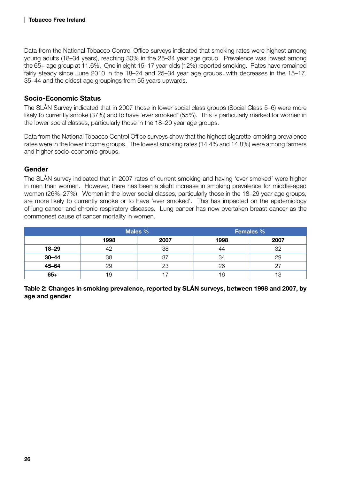Data from the National Tobacco Control Office surveys indicated that smoking rates were highest among young adults (18–34 years), reaching 30% in the 25–34 year age group. Prevalence was lowest among the 65+ age group at 11.6%. One in eight 15–17 year olds (12%) reported smoking. Rates have remained fairly steady since June 2010 in the 18–24 and 25–34 year age groups, with decreases in the 15–17, 35–44 and the oldest age groupings from 55 years upwards.

#### Socio-Economic Status

The SLÁN Survey indicated that in 2007 those in lower social class groups (Social Class 5–6) were more likely to currently smoke (37%) and to have 'ever smoked' (55%). This is particularly marked for women in the lower social classes, particularly those in the 18–29 year age groups.

Data from the National Tobacco Control Office surveys show that the highest cigarette-smoking prevalence rates were in the lower income groups. The lowest smoking rates (14.4% and 14.8%) were among farmers and higher socio-economic groups.

#### Gender

The SLÁN survey indicated that in 2007 rates of current smoking and having 'ever smoked' were higher in men than women. However, there has been a slight increase in smoking prevalence for middle-aged women (26%–27%). Women in the lower social classes, particularly those in the 18–29 year age groups, are more likely to currently smoke or to have 'ever smoked'. This has impacted on the epidemiology of lung cancer and chronic respiratory diseases. Lung cancer has now overtaken breast cancer as the commonest cause of cancer mortality in women.

|           | Males % |      | <b>Females %</b> |      |
|-----------|---------|------|------------------|------|
|           | 1998    | 2007 | 1998             | 2007 |
| $18 - 29$ | 42      | 38   | 44               | 32   |
| $30 - 44$ | 38      | 37   | 34               | 29   |
| $45 - 64$ | 29      | 23   | 26               |      |
| $65+$     | 19      |      | 16               | 13   |

Table 2: Changes in smoking prevalence, reported by SLÁN surveys, between 1998 and 2007, by age and gender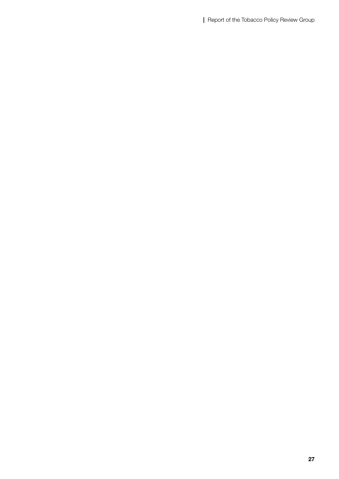| Report of the Tobacco Policy Review Group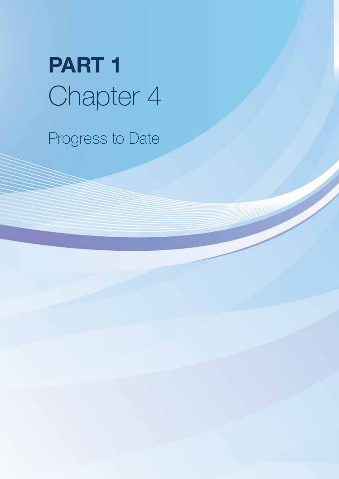# PART 1 Chapter 4

Progress to Date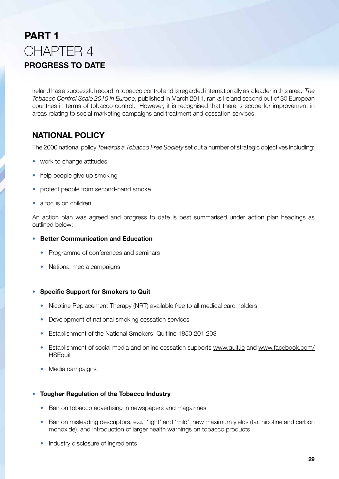### PART 1 CHAPTER 4 PROGRESS TO DATE

Ireland has a successful record in tobacco control and is regarded internationally as a leader in this area. *The Tobacco Control Scale 2010 in Europe*, published in March 2011, ranks Ireland second out of 30 European countries in terms of tobacco control. However, it is recognised that there is scope for improvement in areas relating to social marketing campaigns and treatment and cessation services.

#### NATIONAL POLICY

The 2000 national policy *Towards a Tobacco Free Society* set out a number of strategic objectives including:

- work to change attitudes
- help people give up smoking
- protect people from second-hand smoke
- a focus on children.

An action plan was agreed and progress to date is best summarised under action plan headings as outlined below:

- Better Communication and Education
	- Programme of conferences and seminars
	- National media campaigns
- Specific Support for Smokers to Quit
	- Nicotine Replacement Therapy (NRT) available free to all medical card holders
	- Development of national smoking cessation services
	- Establishment of the National Smokers' Quitline 1850 201 203
	- Establishment of social media and online cessation supports www.quit.ie and www.facebook.com/ **HSEquit**
	- Media campaigns

#### • Tougher Regulation of the Tobacco Industry

- Ban on tobacco advertising in newspapers and magazines
- Ban on misleading descriptors, e.g. 'light' and 'mild', new maximum yields (tar, nicotine and carbon monoxide), and introduction of larger health warnings on tobacco products
- Industry disclosure of ingredients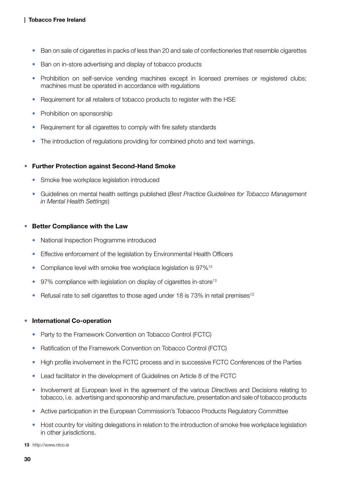- Ban on sale of cigarettes in packs of less than 20 and sale of confectioneries that resemble cigarettes
- Ban on in-store advertising and display of tobacco products
- Prohibition on self-service vending machines except in licensed premises or registered clubs; machines must be operated in accordance with regulations
- Requirement for all retailers of tobacco products to register with the HSE
- Prohibition on sponsorship
- Requirement for all cigarettes to comply with fire safety standards
- The introduction of regulations providing for combined photo and text warnings.

#### • Further Protection against Second-Hand Smoke

- Smoke free workplace legislation introduced
- Guidelines on mental health settings published (*Best Practice Guidelines for Tobacco Management in Mental Health Settings*)

#### • Better Compliance with the Law

- National Inspection Programme introduced
- Effective enforcement of the legislation by Environmental Health Officers
- Compliance level with smoke free workplace legislation is 97%<sup>13</sup>
- 97% compliance with legislation on display of cigarettes in-store<sup>13</sup>
- Refusal rate to sell cigarettes to those aged under 18 is  $73\%$  in retail premises<sup>13</sup>

#### • International Co-operation

- Party to the Framework Convention on Tobacco Control (FCTC)
- Ratification of the Framework Convention on Tobacco Control (FCTC)
- High profile involvement in the FCTC process and in successive FCTC Conferences of the Parties
- Lead facilitator in the development of Guidelines on Article 8 of the FCTC
- Involvement at European level in the agreement of the various Directives and Decisions relating to tobacco, i.e. advertising and sponsorship and manufacture, presentation and sale of tobacco products
- Active participation in the European Commission's Tobacco Products Regulatory Committee
- Host country for visiting delegations in relation to the introduction of smoke free workplace legislation in other jurisdictions.

<sup>13</sup> http://www.ntco.ie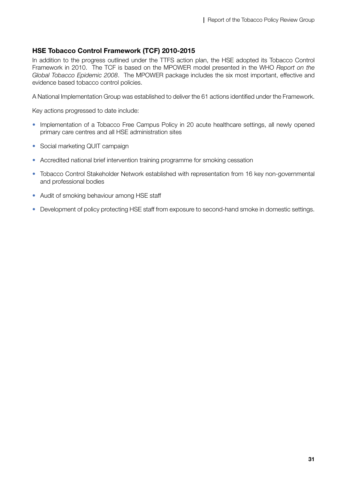#### HSE Tobacco Control Framework (TCF) 2010-2015

In addition to the progress outlined under the TTFS action plan, the HSE adopted its Tobacco Control Framework in 2010. The TCF is based on the MPOWER model presented in the WHO *Report on the Global Tobacco Epidemic 2008*. The MPOWER package includes the six most important, effective and evidence based tobacco control policies.

A National Implementation Group was established to deliver the 61 actions identified under the Framework.

Key actions progressed to date include:

- Implementation of a Tobacco Free Campus Policy in 20 acute healthcare settings, all newly opened primary care centres and all HSE administration sites
- Social marketing QUIT campaign
- Accredited national brief intervention training programme for smoking cessation
- Tobacco Control Stakeholder Network established with representation from 16 key non-governmental and professional bodies
- Audit of smoking behaviour among HSE staff
- Development of policy protecting HSE staff from exposure to second-hand smoke in domestic settings.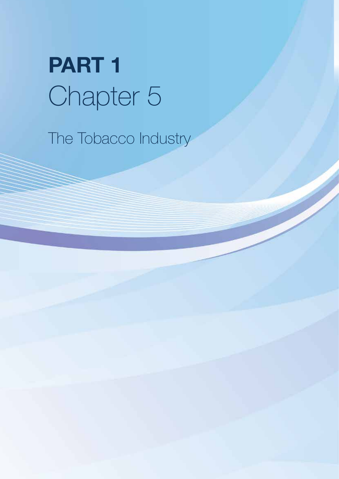# PART<sub>1</sub> Chapter 5

The Tobacco Industry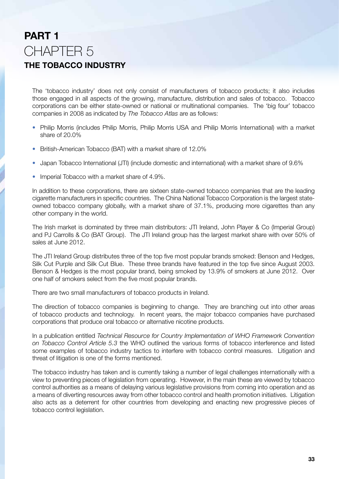### PART 1 CHAPTER 5 THE TOBACCO INDUSTRY

The 'tobacco industry' does not only consist of manufacturers of tobacco products; it also includes those engaged in all aspects of the growing, manufacture, distribution and sales of tobacco. Tobacco corporations can be either state-owned or national or multinational companies. The 'big four' tobacco companies in 2008 as indicated by *The Tobacco Atlas* are as follows:

- Philip Morris (includes Philip Morris, Philip Morris USA and Philip Morris International) with a market share of 20.0%
- British-American Tobacco (BAT) with a market share of 12.0%
- Japan Tobacco International (JTI) (include domestic and international) with a market share of 9.6%
- Imperial Tobacco with a market share of 4.9%.

In addition to these corporations, there are sixteen state-owned tobacco companies that are the leading cigarette manufacturers in specific countries. The China National Tobacco Corporation is the largest stateowned tobacco company globally, with a market share of 37.1%, producing more cigarettes than any other company in the world.

The Irish market is dominated by three main distributors: JTI Ireland, John Player & Co (Imperial Group) and PJ Carrolls & Co (BAT Group). The JTI Ireland group has the largest market share with over 50% of sales at June 2012.

The JTI Ireland Group distributes three of the top five most popular brands smoked: Benson and Hedges, Silk Cut Purple and Silk Cut Blue. These three brands have featured in the top five since August 2003. Benson & Hedges is the most popular brand, being smoked by 13.9% of smokers at June 2012. Over one half of smokers select from the five most popular brands.

There are two small manufacturers of tobacco products in Ireland.

The direction of tobacco companies is beginning to change. They are branching out into other areas of tobacco products and technology. In recent years, the major tobacco companies have purchased corporations that produce oral tobacco or alternative nicotine products.

In a publication entitled *Technical Resource for Country Implementation of WHO Framework Convention on Tobacco Control Article 5.3* the WHO outlined the various forms of tobacco interference and listed some examples of tobacco industry tactics to interfere with tobacco control measures. Litigation and threat of litigation is one of the forms mentioned.

The tobacco industry has taken and is currently taking a number of legal challenges internationally with a view to preventing pieces of legislation from operating. However, in the main these are viewed by tobacco control authorities as a means of delaying various legislative provisions from coming into operation and as a means of diverting resources away from other tobacco control and health promotion initiatives. Litigation also acts as a deterrent for other countries from developing and enacting new progressive pieces of tobacco control legislation.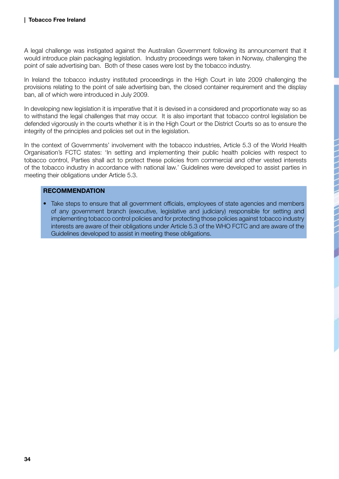A legal challenge was instigated against the Australian Government following its announcement that it would introduce plain packaging legislation. Industry proceedings were taken in Norway, challenging the point of sale advertising ban. Both of these cases were lost by the tobacco industry.

In Ireland the tobacco industry instituted proceedings in the High Court in late 2009 challenging the provisions relating to the point of sale advertising ban, the closed container requirement and the display ban, all of which were introduced in July 2009.

In developing new legislation it is imperative that it is devised in a considered and proportionate way so as to withstand the legal challenges that may occur. It is also important that tobacco control legislation be defended vigorously in the courts whether it is in the High Court or the District Courts so as to ensure the integrity of the principles and policies set out in the legislation.

In the context of Governments' involvement with the tobacco industries, Article 5.3 of the World Health Organisation's FCTC states: 'In setting and implementing their public health policies with respect to tobacco control, Parties shall act to protect these policies from commercial and other vested interests of the tobacco industry in accordance with national law.' Guidelines were developed to assist parties in meeting their obligations under Article 5.3.

#### **RECOMMENDATION**

• Take steps to ensure that all government officials, employees of state agencies and members of any government branch (executive, legislative and judiciary) responsible for setting and implementing tobacco control policies and for protecting those policies against tobacco industry interests are aware of their obligations under Article 5.3 of the WHO FCTC and are aware of the Guidelines developed to assist in meeting these obligations.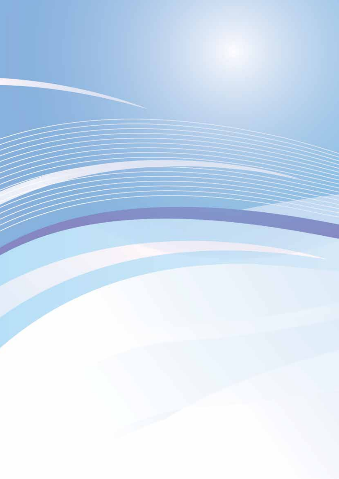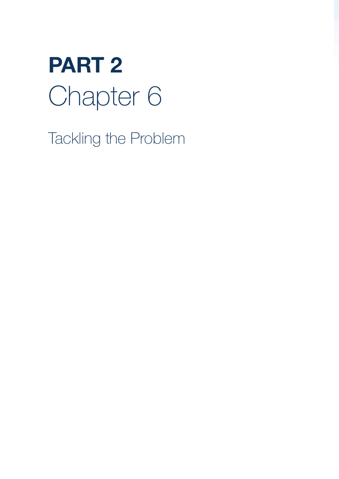## PART<sub>2</sub> Chapter 6

Tackling the Problem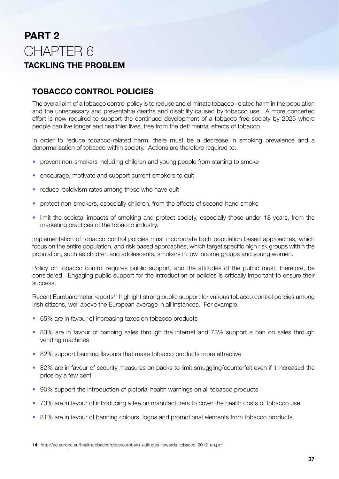### PART 2 CHAPTER 6 TACKLING THE PROBLEM

#### TOBACCO CONTROL POLICIES

The overall aim of a tobacco control policy is to reduce and eliminate tobacco-related harm in the population and the unnecessary and preventable deaths and disability caused by tobacco use. A more concerted effort is now required to support the continued development of a tobacco free society by 2025 where people can live longer and healthier lives, free from the detrimental effects of tobacco.

In order to reduce tobacco-related harm, there must be a decrease in smoking prevalence and a denormalisation of tobacco within society. Actions are therefore required to:

- prevent non-smokers including children and young people from starting to smoke
- encourage, motivate and support current smokers to quit
- reduce recidivism rates among those who have quit
- protect non-smokers, especially children, from the effects of second-hand smoke
- limit the societal impacts of smoking and protect society, especially those under 18 years, from the marketing practices of the tobacco industry.

Implementation of tobacco control policies must incorporate both population based approaches, which focus on the entire population, and risk based approaches, which target specific high risk groups within the population, such as children and adolescents, smokers in low income groups and young women.

Policy on tobacco control requires public support, and the attitudes of the public must, therefore, be considered. Engaging public support for the introduction of policies is critically important to ensure their success.

Recent Eurobarometer reports<sup>14</sup> highlight strong public support for various tobacco control policies among Irish citizens, well above the European average in all instances. For example:

- 65% are in favour of increasing taxes on tobacco products
- 83% are in favour of banning sales through the internet and 73% support a ban on sales through vending machines
- 82% support banning flavours that make tobacco products more attractive
- 82% are in favour of security measures on packs to limit smuggling/counterfeit even if it increased the price by a few cent
- 90% support the introduction of pictorial health warnings on all tobacco products
- 73% are in favour of introducing a fee on manufacturers to cover the health costs of tobacco use
- 81% are in favour of banning colours, logos and promotional elements from tobacco products.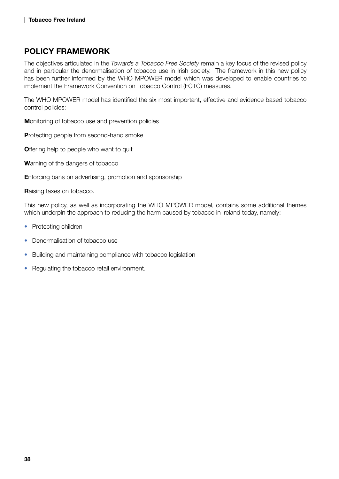#### POLICY FRAMEWORK

The objectives articulated in the *Towards a Tobacco Free Society* remain a key focus of the revised policy and in particular the denormalisation of tobacco use in Irish society. The framework in this new policy has been further informed by the WHO MPOWER model which was developed to enable countries to implement the Framework Convention on Tobacco Control (FCTC) measures.

The WHO MPOWER model has identified the six most important, effective and evidence based tobacco control policies:

Monitoring of tobacco use and prevention policies

**Protecting people from second-hand smoke** 

**Offering help to people who want to quit** 

Warning of the dangers of tobacco

Enforcing bans on advertising, promotion and sponsorship

**Raising taxes on tobacco.** 

This new policy, as well as incorporating the WHO MPOWER model, contains some additional themes which underpin the approach to reducing the harm caused by tobacco in Ireland today, namely:

- Protecting children
- Denormalisation of tobacco use
- Building and maintaining compliance with tobacco legislation
- Regulating the tobacco retail environment.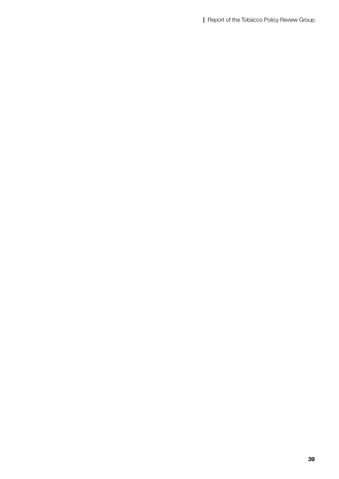| Report of the Tobacco Policy Review Group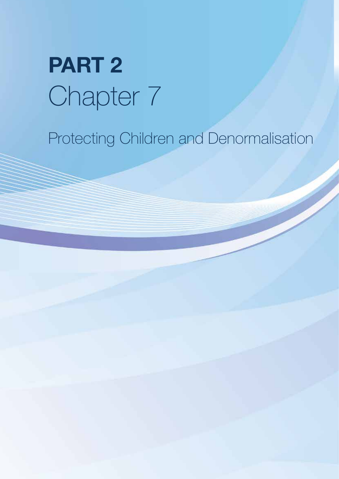## PART<sub>2</sub> Chapter 7

Protecting Children and Denormalisation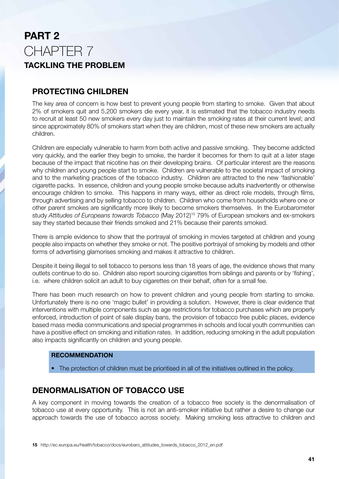### PART 2 CHAPTER 7 TACKLING THE PROBLEM

#### PROTECTING CHILDREN

The key area of concern is how best to prevent young people from starting to smoke. Given that about 2% of smokers quit and 5,200 smokers die every year, it is estimated that the tobacco industry needs to recruit at least 50 new smokers every day just to maintain the smoking rates at their current level; and since approximately 80% of smokers start when they are children, most of these new smokers are actually children.

Children are especially vulnerable to harm from both active and passive smoking. They become addicted very quickly, and the earlier they begin to smoke, the harder it becomes for them to quit at a later stage because of the impact that nicotine has on their developing brains. Of particular interest are the reasons why children and young people start to smoke. Children are vulnerable to the societal impact of smoking and to the marketing practices of the tobacco industry. Children are attracted to the new 'fashionable' cigarette packs. In essence, children and young people smoke because adults inadvertently or otherwise encourage children to smoke. This happens in many ways, either as direct role models, through films, through advertising and by selling tobacco to children. Children who come from households where one or other parent smokes are significantly more likely to become smokers themselves. In the Eurobarometer study *Attitudes of Europeans towards Tobacco* (May 2012)15 79% of European smokers and ex-smokers say they started because their friends smoked and 21% because their parents smoked.

There is ample evidence to show that the portrayal of smoking in movies targeted at children and young people also impacts on whether they smoke or not. The positive portrayal of smoking by models and other forms of advertising glamorises smoking and makes it attractive to children.

Despite it being illegal to sell tobacco to persons less than 18 years of age, the evidence shows that many outlets continue to do so. Children also report sourcing cigarettes from siblings and parents or by 'fishing', i.e. where children solicit an adult to buy cigarettes on their behalf, often for a small fee.

There has been much research on how to prevent children and young people from starting to smoke. Unfortunately there is no one 'magic bullet' in providing a solution. However, there is clear evidence that interventions with multiple components such as age restrictions for tobacco purchases which are properly enforced, introduction of point of sale display bans, the provision of tobacco free public places, evidence based mass media communications and special programmes in schools and local youth communities can have a positive effect on smoking and initiation rates. In addition, reducing smoking in the adult population also impacts significantly on children and young people.

#### **RECOMMENDATION**

• The protection of children must be prioritised in all of the initiatives outlined in the policy.

#### DENORMALISATION OF TOBACCO USE

A key component in moving towards the creation of a tobacco free society is the denormalisation of tobacco use at every opportunity. This is not an anti-smoker initiative but rather a desire to change our approach towards the use of tobacco across society. Making smoking less attractive to children and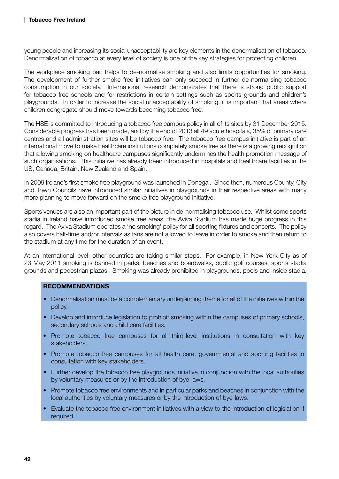young people and increasing its social unacceptability are key elements in the denormalisation of tobacco. Denormalisation of tobacco at every level of society is one of the key strategies for protecting children.

The workplace smoking ban helps to de-normalise smoking and also limits opportunities for smoking. The development of further smoke free initiatives can only succeed in further de-normalising tobacco consumption in our society. International research demonstrates that there is strong public support for tobacco free schools and for restrictions in certain settings such as sports grounds and children's playgrounds. In order to increase the social unacceptability of smoking, it is important that areas where children congregate should move towards becoming tobacco free.

The HSE is committed to introducing a tobacco free campus policy in all of its sites by 31 December 2015. Considerable progress has been made, and by the end of 2013 all 49 acute hospitals, 35% of primary care centres and all administration sites will be tobacco free. The tobacco free campus initiative is part of an international move to make healthcare institutions completely smoke free as there is a growing recognition that allowing smoking on healthcare campuses significantly undermines the health promotion message of such organisations. This initiative has already been introduced in hospitals and healthcare facilities in the US, Canada, Britain, New Zealand and Spain.

In 2009 Ireland's first smoke free playground was launched in Donegal. Since then, numerous County, City and Town Councils have introduced similar initiatives in playgrounds in their respective areas with many more planning to move forward on the smoke free playground initiative.

Sports venues are also an important part of the picture in de-normalising tobacco use. Whilst some sports stadia in Ireland have introduced smoke free areas, the Aviva Stadium has made huge progress in this regard. The Aviva Stadium operates a 'no smoking' policy for all sporting fixtures and concerts. The policy also covers half-time and/or intervals as fans are not allowed to leave in order to smoke and then return to the stadium at any time for the duration of an event.

At an international level, other countries are taking similar steps. For example, in New York City as of 23 May 2011 smoking is banned in parks, beaches and boardwalks, public golf courses, sports stadia grounds and pedestrian plazas. Smoking was already prohibited in playgrounds, pools and inside stadia.

#### RECOMMENDATIONS

- Denormalisation must be a complementary underpinning theme for all of the initiatives within the policy.
- Develop and introduce legislation to prohibit smoking within the campuses of primary schools, secondary schools and child care facilities.
- Promote tobacco free campuses for all third-level institutions in consultation with key stakeholders.
- Promote tobacco free campuses for all health care, governmental and sporting facilities in consultation with key stakeholders.
- Further develop the tobacco free playgrounds initiative in conjunction with the local authorities by voluntary measures or by the introduction of bye-laws.
- Promote tobacco free environments and in particular parks and beaches in conjunction with the local authorities by voluntary measures or by the introduction of bye-laws.
- Evaluate the tobacco free environment initiatives with a view to the introduction of legislation if required.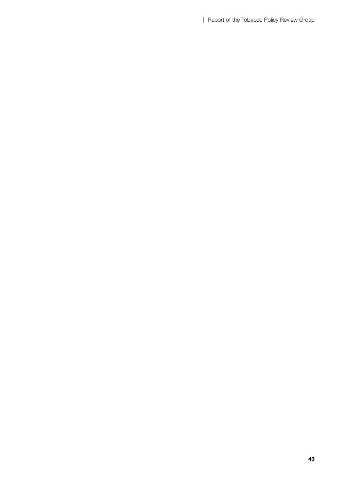| Report of the Tobacco Policy Review Group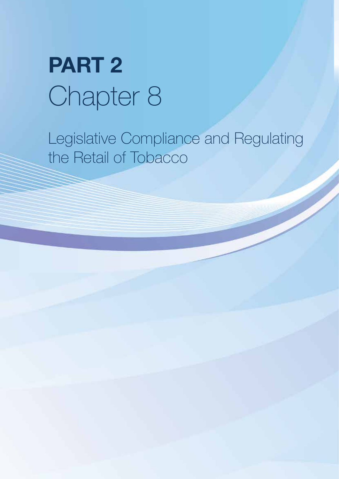## PART<sub>2</sub> Chapter 8

Legislative Compliance and Regulating the Retail of Tobacco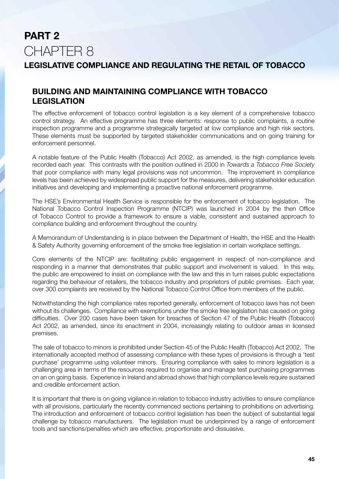## PART 2 CHAPTER 8

#### LEGISLATIVE COMPLIANCE AND REGULATING THE RETAIL OF TOBACCO

#### BUILDING AND MAINTAINING COMPLIANCE WITH TOBACCO LEGISLATION

The effective enforcement of tobacco control legislation is a key element of a comprehensive tobacco control strategy. An effective programme has three elements: response to public complaints, a routine inspection programme and a programme strategically targeted at low compliance and high risk sectors. These elements must be supported by targeted stakeholder communications and on going training for enforcement personnel.

A notable feature of the Public Health (Tobacco) Act 2002, as amended, is the high compliance levels recorded each year. This contrasts with the position outlined in 2000 in *Towards a Tobacco Free Society* that poor compliance with many legal provisions was not uncommon. The improvement in compliance levels has been achieved by widespread public support for the measures, delivering stakeholder education initiatives and developing and implementing a proactive national enforcement programme.

The HSE's Environmental Health Service is responsible for the enforcement of tobacco legislation. The National Tobacco Control Inspection Programme (NTCIP) was launched in 2004 by the then Office of Tobacco Control to provide a framework to ensure a viable, consistent and sustained approach to compliance building and enforcement throughout the country.

A Memorandum of Understanding is in place between the Department of Health, the HSE and the Health & Safety Authority governing enforcement of the smoke free legislation in certain workplace settings.

Core elements of the NTCIP are: facilitating public engagement in respect of non-compliance and responding in a manner that demonstrates that public support and involvement is valued. In this way, the public are empowered to insist on compliance with the law and this in turn raises public expectations regarding the behaviour of retailers, the tobacco industry and proprietors of public premises. Each year, over 300 complaints are received by the National Tobacco Control Office from members of the public.

Notwithstanding the high compliance rates reported generally, enforcement of tobacco laws has not been without its challenges. Compliance with exemptions under the smoke free legislation has caused on going difficulties. Over 200 cases have been taken for breaches of Section 47 of the Public Health (Tobacco) Act 2002, as amended, since its enactment in 2004, increasingly relating to outdoor areas in licensed premises.

The sale of tobacco to minors is prohibited under Section 45 of the Public Health (Tobacco) Act 2002. The internationally accepted method of assessing compliance with these types of provisions is through a 'test purchase' programme using volunteer minors. Ensuring compliance with sales to minors legislation is a challenging area in terms of the resources required to organise and manage test purchasing programmes on an on going basis. Experience in Ireland and abroad shows that high compliance levels require sustained and credible enforcement action.

It is important that there is on going vigilance in relation to tobacco industry activities to ensure compliance with all provisions, particularly the recently commenced sections pertaining to prohibitions on advertising. The introduction and enforcement of tobacco control legislation has been the subject of substantial legal challenge by tobacco manufacturers. The legislation must be underpinned by a range of enforcement tools and sanctions/penalties which are effective, proportionate and dissuasive.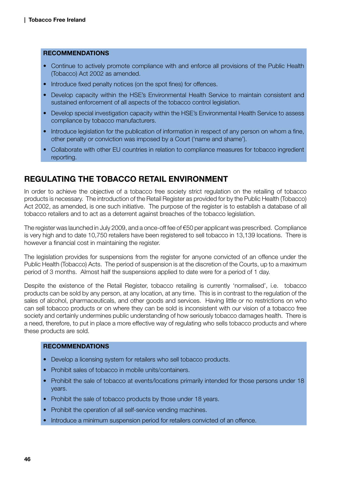#### RECOMMENDATIONS

- Continue to actively promote compliance with and enforce all provisions of the Public Health (Tobacco) Act 2002 as amended.
- Introduce fixed penalty notices (on the spot fines) for offences.
- Develop capacity within the HSE's Environmental Health Service to maintain consistent and sustained enforcement of all aspects of the tobacco control legislation.
- Develop special investigation capacity within the HSE's Environmental Health Service to assess compliance by tobacco manufacturers.
- Introduce legislation for the publication of information in respect of any person on whom a fine, other penalty or conviction was imposed by a Court ('name and shame').
- Collaborate with other EU countries in relation to compliance measures for tobacco ingredient reporting.

#### REGULATING THE TOBACCO RETAIL ENVIRONMENT

In order to achieve the objective of a tobacco free society strict regulation on the retailing of tobacco products is necessary. The introduction of the Retail Register as provided for by the Public Health (Tobacco) Act 2002, as amended, is one such initiative. The purpose of the register is to establish a database of all tobacco retailers and to act as a deterrent against breaches of the tobacco legislation.

The register was launched in July 2009, and a once-off fee of €50 per applicant was prescribed. Compliance is very high and to date 10,750 retailers have been registered to sell tobacco in 13,139 locations. There is however a financial cost in maintaining the register.

The legislation provides for suspensions from the register for anyone convicted of an offence under the Public Health (Tobacco) Acts. The period of suspension is at the discretion of the Courts, up to a maximum period of 3 months. Almost half the suspensions applied to date were for a period of 1 day.

Despite the existence of the Retail Register, tobacco retailing is currently 'normalised', i.e. tobacco products can be sold by any person, at any location, at any time. This is in contrast to the regulation of the sales of alcohol, pharmaceuticals, and other goods and services. Having little or no restrictions on who can sell tobacco products or on where they can be sold is inconsistent with our vision of a tobacco free society and certainly undermines public understanding of how seriously tobacco damages health. There is a need, therefore, to put in place a more effective way of regulating who sells tobacco products and where these products are sold.

#### RECOMMENDATIONS

- Develop a licensing system for retailers who sell tobacco products.
- Prohibit sales of tobacco in mobile units/containers.
- Prohibit the sale of tobacco at events/locations primarily intended for those persons under 18 years.
- Prohibit the sale of tobacco products by those under 18 years.
- Prohibit the operation of all self-service vending machines.
- Introduce a minimum suspension period for retailers convicted of an offence.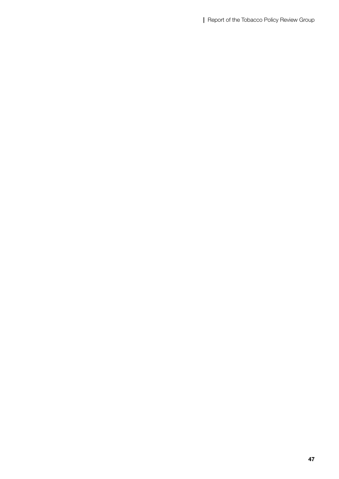| Report of the Tobacco Policy Review Group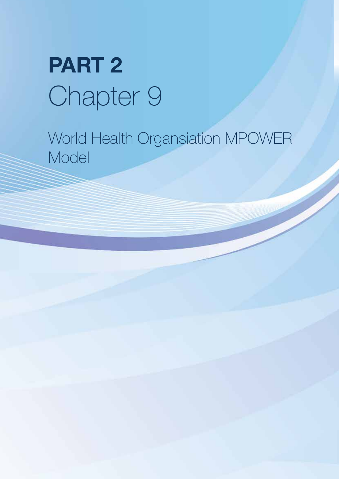## PART<sub>2</sub> Chapter 9

World Health Organsiation MPOWER Model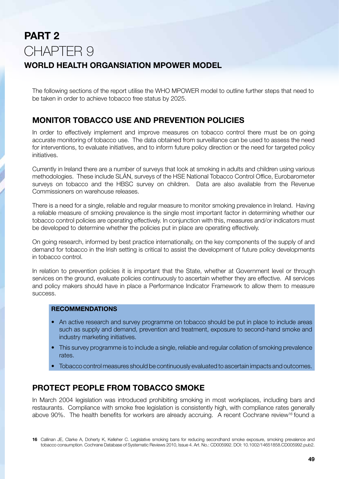## PART 2 CHAPTER 9 WORLD HEALTH ORGANSIATION MPOWER MODEL

The following sections of the report utilise the WHO MPOWER model to outline further steps that need to be taken in order to achieve tobacco free status by 2025.

#### MONITOR TOBACCO USE AND PREVENTION POLICIES

In order to effectively implement and improve measures on tobacco control there must be on going accurate monitoring of tobacco use. The data obtained from surveillance can be used to assess the need for interventions, to evaluate initiatives, and to inform future policy direction or the need for targeted policy initiatives.

Currently in Ireland there are a number of surveys that look at smoking in adults and children using various methodologies. These include SLÁN, surveys of the HSE National Tobacco Control Office, Eurobarometer surveys on tobacco and the HBSC survey on children. Data are also available from the Revenue Commissioners on warehouse releases.

There is a need for a single, reliable and regular measure to monitor smoking prevalence in Ireland. Having a reliable measure of smoking prevalence is the single most important factor in determining whether our tobacco control policies are operating effectively. In conjunction with this, measures and/or indicators must be developed to determine whether the policies put in place are operating effectively.

On going research, informed by best practice internationally, on the key components of the supply of and demand for tobacco in the Irish setting is critical to assist the development of future policy developments in tobacco control.

In relation to prevention policies it is important that the State, whether at Government level or through services on the ground, evaluate policies continuously to ascertain whether they are effective. All services and policy makers should have in place a Performance Indicator Framework to allow them to measure success.

#### RECOMMENDATIONS

- An active research and survey programme on tobacco should be put in place to include areas such as supply and demand, prevention and treatment, exposure to second-hand smoke and industry marketing initiatives.
- This survey programme is to include a single, reliable and regular collation of smoking prevalence rates.
- Tobacco control measures should be continuously evaluated to ascertain impacts and outcomes.

#### PROTECT PEOPLE FROM TOBACCO SMOKE

In March 2004 legislation was introduced prohibiting smoking in most workplaces, including bars and restaurants. Compliance with smoke free legislation is consistently high, with compliance rates generally above 90%. The health benefits for workers are already accruing. A recent Cochrane review<sup>16</sup> found a

<sup>16</sup> Callinan JE, Clarke A, Doherty K, Kelleher C. Legislative smoking bans for reducing secondhand smoke exposure, smoking prevalence and tobacco consumption. Cochrane Database of Systematic Reviews 2010, Issue 4. Art. No.: CD005992. DOI: 10.1002/14651858.CD005992.pub2.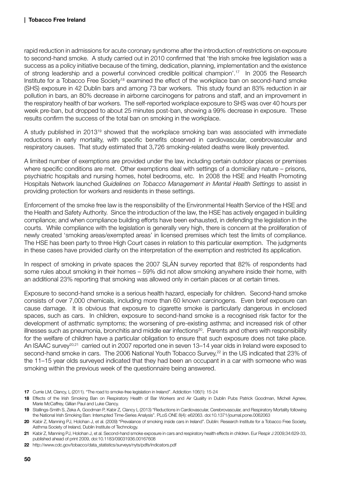rapid reduction in admissions for acute coronary syndrome after the introduction of restrictions on exposure to second-hand smoke. A study carried out in 2010 confirmed that 'the Irish smoke free legislation was a success as a policy initiative because of the timing, dedication, planning, implementation and the existence of strong leadership and a powerful convinced credible political champion'.17 In 2005 the Research Institute for a Tobacco Free Society<sup>18</sup> examined the effect of the workplace ban on second-hand smoke (SHS) exposure in 42 Dublin bars and among 73 bar workers. This study found an 83% reduction in air pollution in bars, an 80% decrease in airborne carcinogens for patrons and staff, and an improvement in the respiratory health of bar workers. The self-reported workplace exposure to SHS was over 40 hours per week pre-ban, but dropped to about 25 minutes post-ban, showing a 99% decrease in exposure. These results confirm the success of the total ban on smoking in the workplace.

A study published in 201319 showed that the workplace smoking ban was associated with immediate reductions in early mortality, with specific benefits observed in cardiovascular, cerebrovascular and respiratory causes. That study estimated that 3,726 smoking-related deaths were likely prevented.

A limited number of exemptions are provided under the law, including certain outdoor places or premises where specific conditions are met. Other exemptions deal with settings of a domiciliary nature – prisons, psychiatric hospitals and nursing homes, hotel bedrooms, etc. In 2008 the HSE and Health Promoting Hospitals Network launched *Guidelines on Tobacco Management in Mental Health Settings* to assist in providing protection for workers and residents in these settings.

Enforcement of the smoke free law is the responsibility of the Environmental Health Service of the HSE and the Health and Safety Authority. Since the introduction of the law, the HSE has actively engaged in building compliance; and when compliance building efforts have been exhausted, in defending the legislation in the courts. While compliance with the legislation is generally very high, there is concern at the proliferation of newly created 'smoking areas/exempted areas' in licensed premises which test the limits of compliance. The HSE has been party to three High Court cases in relation to this particular exemption. The judgments in these cases have provided clarity on the interpretation of the exemption and restricted its application.

In respect of smoking in private spaces the 2007 SLÁN survey reported that 82% of respondents had some rules about smoking in their homes – 59% did not allow smoking anywhere inside their home, with an additional 23% reporting that smoking was allowed only in certain places or at certain times.

Exposure to second-hand smoke is a serious health hazard, especially for children. Second-hand smoke consists of over 7,000 chemicals, including more than 60 known carcinogens. Even brief exposure can cause damage. It is obvious that exposure to cigarette smoke is particularly dangerous in enclosed spaces, such as cars. In children, exposure to second-hand smoke is a recognised risk factor for the development of asthmatic symptoms; the worsening of pre-existing asthma; and increased risk of other illnesses such as pneumonia, bronchitis and middle ear infections<sup>20</sup>. Parents and others with responsibility for the welfare of children have a particular obligation to ensure that such exposure does not take place. An ISAAC survey<sup>20,21</sup> carried out in 2007 reported one in seven 13–14 year olds in Ireland were exposed to second-hand smoke in cars. The 2006 National Youth Tobacco Survey,<sup>22</sup> in the US indicated that 23% of the 11–15 year olds surveyed indicated that they had been an occupant in a car with someone who was smoking within the previous week of the questionnaire being answered.

<sup>17</sup> Currie LM, Clancy, L (2011). "The road to smoke-free legislation in Ireland''. Addicition 106(1): 15-24

<sup>18</sup> Effects of the Irish Smoking Ban on Respiratory Health of Bar Workers and Air Quality in Dublin Pubs Patrick Goodman, Michell Agnew, Marie McCaffrey, Gillian Paul and Luke Clancy.

<sup>19</sup> Stallings-Smith S, Zeka A, Goodman P, Kabir Z, Clancy L (2013) "Reductions in Cardiovascular, Cerebrovascular, and Respiratory Mortality following the National Irish Smoking Ban: Interrupted Time-Series Analysis". PLoS ONE 8(4): e62063. doi:10.1371/journal.pone.0062063

<sup>20</sup> Kabir Z, Manning PJ, Holohan J, et al. (2009) "Prevalance of smoking inside cars in Ireland". Dublin: Research Institute for a Tobacco Free Society, Asthma Society of Ireland, Dublin Institute of Technology.

<sup>21</sup> Kabir Z, Manning PJ, Holohan J, et al. Second-hand smoke exposure in cars and respiratory health effects in children. Eur Respir J 2009;34:629-33, published ahead of print 2009, doi:10.1183/09031936.00167608

<sup>22</sup> http://www.cdc.gov/tobacco/data\_statistics/surveys/nyts/pdfs/indicators.pdf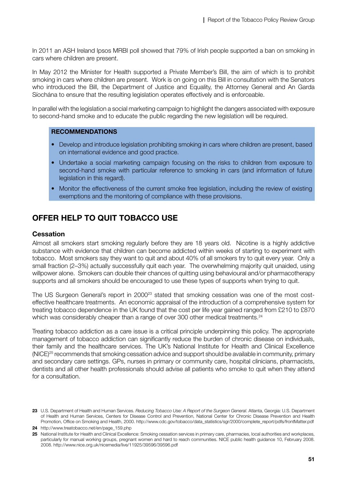In 2011 an ASH Ireland Ipsos MRBI poll showed that 79% of Irish people supported a ban on smoking in cars where children are present.

In May 2012 the Minister for Health supported a Private Member's Bill, the aim of which is to prohibit smoking in cars where children are present. Work is on going on this Bill in consultation with the Senators who introduced the Bill, the Department of Justice and Equality, the Attorney General and An Garda Síochána to ensure that the resulting legislation operates effectively and is enforceable.

In parallel with the legislation a social marketing campaign to highlight the dangers associated with exposure to second-hand smoke and to educate the public regarding the new legislation will be required.

#### RECOMMENDATIONS

- Develop and introduce legislation prohibiting smoking in cars where children are present, based on international evidence and good practice.
- Undertake a social marketing campaign focusing on the risks to children from exposure to second-hand smoke with particular reference to smoking in cars (and information of future legislation in this regard).
- Monitor the effectiveness of the current smoke free legislation, including the review of existing exemptions and the monitoring of compliance with these provisions.

#### OFFER HELP TO QUIT TOBACCO USE

#### **Cessation**

Almost all smokers start smoking regularly before they are 18 years old. Nicotine is a highly addictive substance with evidence that children can become addicted within weeks of starting to experiment with tobacco. Most smokers say they want to quit and about 40% of all smokers try to quit every year. Only a small fraction (2-3%) actually successfully quit each year. The overwhelming majority quit unaided, using willpower alone. Smokers can double their chances of quitting using behavioural and/or pharmacotherapy supports and all smokers should be encouraged to use these types of supports when trying to quit.

The US Surgeon General's report in 2000<sup>23</sup> stated that smoking cessation was one of the most costeffective healthcare treatments. An economic appraisal of the introduction of a comprehensive system for treating tobacco dependence in the UK found that the cost per life year gained ranged from £210 to £870 which was considerably cheaper than a range of over 300 other medical treatments.<sup>24</sup>

Treating tobacco addiction as a care issue is a critical principle underpinning this policy. The appropriate management of tobacco addiction can significantly reduce the burden of chronic disease on individuals, their family and the healthcare services. The UK's National Institute for Health and Clinical Excellence (NICE)25 recommends that smoking cessation advice and support should be available in community, primary and secondary care settings. GPs, nurses in primary or community care, hospital clinicians, pharmacists, dentists and all other health professionals should advise all patients who smoke to quit when they attend for a consultation.

<sup>23</sup> U.S. Department of Health and Human Services. *Reducing Tobacco Use: A Report of the Surgeon General*. Atlanta, Georgia: U.S. Department of Health and Human Services, Centers for Disease Control and Prevention, National Center for Chronic Disease Prevention and Health Promotion, Office on Smoking and Health, 2000. http://www.cdc.gov/tobacco/data\_statistics/sgr/2000/complete\_report/pdfs/frontMatter.pdf

<sup>24</sup> http://www.treatobacco.net/en/page\_159.php

<sup>25</sup> National Institute for Health and Clinical Excellence: Smoking cessation services in primary care, pharmacies, local authorities and workplaces, particularly for manual working groups, pregnant women and hard to reach communities. NICE public health guidance 10, February 2008. 2008. http://www.nice.org.uk/nicemedia/live/11925/39596/39596.pdf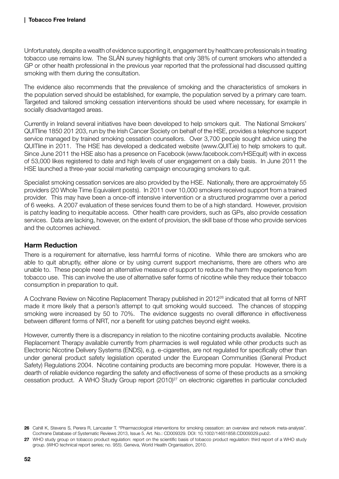Unfortunately, despite a wealth of evidence supporting it, engagement by healthcare professionals in treating tobacco use remains low. The SLÁN survey highlights that only 38% of current smokers who attended a GP or other health professional in the previous year reported that the professional had discussed quitting smoking with them during the consultation.

The evidence also recommends that the prevalence of smoking and the characteristics of smokers in the population served should be established, for example, the population served by a primary care team. Targeted and tailored smoking cessation interventions should be used where necessary, for example in socially disadvantaged areas.

Currently in Ireland several initiatives have been developed to help smokers quit. The National Smokers' QUITline 1850 201 203, run by the Irish Cancer Society on behalf of the HSE, provides a telephone support service managed by trained smoking cessation counsellors. Over 3,700 people sought advice using the QUITline in 2011. The HSE has developed a dedicated website (www.QUIT.ie) to help smokers to quit. Since June 2011 the HSE also has a presence on Facebook (www.facebook.com/HSEquit) with in excess of 53,000 likes registered to date and high levels of user engagement on a daily basis. In June 2011 the HSE launched a three-year social marketing campaign encouraging smokers to quit.

Specialist smoking cessation services are also provided by the HSE. Nationally, there are approximately 55 providers (20 Whole Time Equivalent posts). In 2011 over 10,000 smokers received support from a trained provider. This may have been a once-off intensive intervention or a structured programme over a period of 6 weeks. A 2007 evaluation of these services found them to be of a high standard. However, provision is patchy leading to inequitable access. Other health care providers, such as GPs, also provide cessation services. Data are lacking, however, on the extent of provision, the skill base of those who provide services and the outcomes achieved.

#### Harm Reduction

There is a requirement for alternative, less harmful forms of nicotine. While there are smokers who are able to quit abruptly, either alone or by using current support mechanisms, there are others who are unable to. These people need an alternative measure of support to reduce the harm they experience from tobacco use. This can involve the use of alternative safer forms of nicotine while they reduce their tobacco consumption in preparation to quit.

A Cochrane Review on Nicotine Replacement Therapy published in 201226 indicated that all forms of NRT made it more likely that a person's attempt to quit smoking would succeed. The chances of stopping smoking were increased by 50 to 70%. The evidence suggests no overall difference in effectiveness between different forms of NRT, nor a benefit for using patches beyond eight weeks.

However, currently there is a discrepancy in relation to the nicotine containing products available. Nicotine Replacement Therapy available currently from pharmacies is well regulated while other products such as Electronic Nicotine Delivery Systems (ENDS), e.g. e-cigarettes, are not regulated for specifically other than under general product safety legislation operated under the European Communities (General Product Safety) Regulations 2004. Nicotine containing products are becoming more popular. However, there is a dearth of reliable evidence regarding the safety and effectiveness of some of these products as a smoking cessation product. A WHO Study Group report (2010)<sup>27</sup> on electronic cigarettes in particular concluded

<sup>26</sup> Cahill K, Stevens S, Perera R, Lancaster T. "Pharmacological interventions for smoking cessation: an overview and network meta-analysis". Cochrane Database of Systematic Reviews 2013, Issue 5. Art. No.: CD009329. DOI: 10.1002/14651858.CD009329.pub2.

<sup>27</sup> WHO study group on tobacco product regulation: report on the scientific basis of tobacco product regulation: third report of a WHO study group. (WHO technical report series; no. 955). Geneva, World Health Organisation, 2010.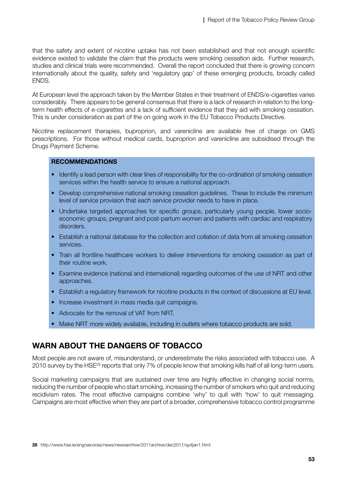that the safety and extent of nicotine uptake has not been established and that not enough scientific evidence existed to validate the claim that the products were smoking cessation aids. Further research, studies and clinical trials were recommended. Overall the report concluded that there is growing concern internationally about the quality, safety and 'regulatory gap' of these emerging products, broadly called ENDS.

At European level the approach taken by the Member States in their treatment of ENDS/e-cigarettes varies considerably. There appears to be general consensus that there is a lack of research in relation to the longterm health effects of e-cigarettes and a lack of sufficient evidence that they aid with smoking cessation. This is under consideration as part of the on going work in the EU Tobacco Products Directive.

Nicotine replacement therapies, buproprion, and varenicline are available free of charge on GMS prescriptions. For those without medical cards, buproprion and varenicline are subsidised through the Drugs Payment Scheme.

#### RECOMMENDATIONS

- Identify a lead person with clear lines of responsibility for the co-ordination of smoking cessation services within the health service to ensure a national approach.
- Develop comprehensive national smoking cessation quidelines. These to include the minimum level of service provision that each service provider needs to have in place.
- Undertake targeted approaches for specific groups, particularly young people, lower socioeconomic groups, pregnant and post-partum women and patients with cardiac and respiratory disorders.
- Establish a national database for the collection and collation of data from all smoking cessation services.
- Train all frontline healthcare workers to deliver interventions for smoking cessation as part of their routine work.
- Examine evidence (national and international) regarding outcomes of the use of NRT and other approaches.
- Establish a regulatory framework for nicotine products in the context of discussions at EU level.
- Increase investment in mass media quit campaigns.
- Advocate for the removal of VAT from NRT.
- Make NRT more widely available, including in outlets where tobacco products are sold.

#### WARN ABOUT THE DANGERS OF TOBACCO

Most people are not aware of, misunderstand, or underestimate the risks associated with tobacco use. A 2010 survey by the HSE28 reports that only 7% of people know that smoking kills half of all long-term users.

Social marketing campaigns that are sustained over time are highly effective in changing social norms, reducing the number of people who start smoking, increasing the number of smokers who quit and reducing recidivism rates. The most effective campaigns combine 'why' to quit with 'how' to quit messaging. Campaigns are most effective when they are part of a broader, comprehensive tobacco control programme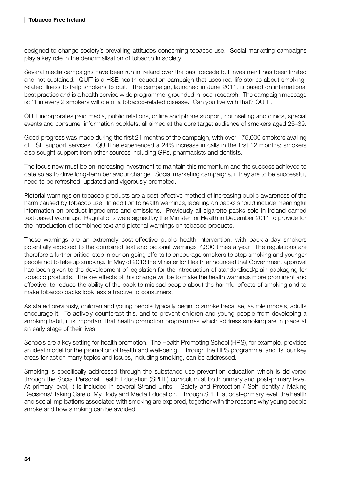designed to change society's prevailing attitudes concerning tobacco use. Social marketing campaigns play a key role in the denormalisation of tobacco in society.

Several media campaigns have been run in Ireland over the past decade but investment has been limited and not sustained. QUIT is a HSE health education campaign that uses real life stories about smokingrelated illness to help smokers to quit. The campaign, launched in June 2011, is based on international best practice and is a health service wide programme, grounded in local research. The campaign message is: '1 in every 2 smokers will die of a tobacco-related disease. Can you live with that? QUIT'.

QUIT incorporates paid media, public relations, online and phone support, counselling and clinics, special events and consumer information booklets, all aimed at the core target audience of smokers aged 25–39.

Good progress was made during the first 21 months of the campaign, with over 175,000 smokers availing of HSE support services. QUITline experienced a 24% increase in calls in the first 12 months; smokers also sought support from other sources including GPs, pharmacists and dentists.

The focus now must be on increasing investment to maintain this momentum and the success achieved to date so as to drive long-term behaviour change. Social marketing campaigns, if they are to be successful, need to be refreshed, updated and vigorously promoted.

Pictorial warnings on tobacco products are a cost-effective method of increasing public awareness of the harm caused by tobacco use. In addition to health warnings, labelling on packs should include meaningful information on product ingredients and emissions. Previously all cigarette packs sold in Ireland carried text-based warnings. Regulations were signed by the Minister for Health in December 2011 to provide for the introduction of combined text and pictorial warnings on tobacco products.

These warnings are an extremely cost-effective public health intervention, with pack-a-day smokers potentially exposed to the combined text and pictorial warnings 7,300 times a year. The regulations are therefore a further critical step in our on going efforts to encourage smokers to stop smoking and younger people not to take up smoking. In May of 2013 the Minister for Health announced that Government approval had been given to the development of legislation for the introduction of standardised/plain packaging for tobacco products. The key effects of this change will be to make the health warnings more prominent and effective, to reduce the ability of the pack to mislead people about the harmful effects of smoking and to make tobacco packs look less attractive to consumers.

As stated previously, children and young people typically begin to smoke because, as role models, adults encourage it. To actively counteract this, and to prevent children and young people from developing a smoking habit, it is important that health promotion programmes which address smoking are in place at an early stage of their lives.

Schools are a key setting for health promotion. The Health Promoting School (HPS), for example, provides an ideal model for the promotion of health and well-being. Through the HPS programme, and its four key areas for action many topics and issues, including smoking, can be addressed.

Smoking is specifically addressed through the substance use prevention education which is delivered through the Social Personal Health Education (SPHE) curriculum at both primary and post-primary level. At primary level, it is included in several Strand Units – Safety and Protection / Self Identity / Making Decisions/ Taking Care of My Body and Media Education. Through SPHE at post–primary level, the health and social implications associated with smoking are explored, together with the reasons why young people smoke and how smoking can be avoided.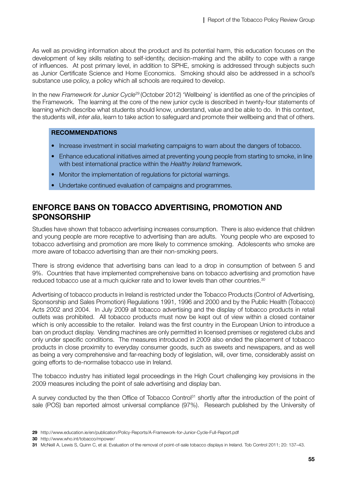As well as providing information about the product and its potential harm, this education focuses on the development of key skills relating to self-identity, decision-making and the ability to cope with a range of influences. At post primary level, in addition to SPHE, smoking is addressed through subjects such as Junior Certificate Science and Home Economics. Smoking should also be addressed in a school's substance use policy, a policy which all schools are required to develop.

In the new *Framework for Junior Cycle*29 (October 2012) 'Wellbeing' is identified as one of the principles of the Framework. The learning at the core of the new junior cycle is described in twenty-four statements of learning which describe what students should know, understand, value and be able to do. In this context, the students will, *inter alia*, learn to take action to safeguard and promote their wellbeing and that of others.

#### RECOMMENDATIONS

- Increase investment in social marketing campaigns to warn about the dangers of tobacco.
- Enhance educational initiatives aimed at preventing young people from starting to smoke, in line with best international practice within the *Healthy Ireland* framework.
- Monitor the implementation of regulations for pictorial warnings.
- Undertake continued evaluation of campaigns and programmes.

#### ENFORCE BANS ON TOBACCO ADVERTISING, PROMOTION AND **SPONSORSHIP**

Studies have shown that tobacco advertising increases consumption. There is also evidence that children and young people are more receptive to advertising than are adults. Young people who are exposed to tobacco advertising and promotion are more likely to commence smoking. Adolescents who smoke are more aware of tobacco advertising than are their non-smoking peers.

There is strong evidence that advertising bans can lead to a drop in consumption of between 5 and 9%. Countries that have implemented comprehensive bans on tobacco advertising and promotion have reduced tobacco use at a much quicker rate and to lower levels than other countries.<sup>30</sup>

Advertising of tobacco products in Ireland is restricted under the Tobacco Products (Control of Advertising, Sponsorship and Sales Promotion) Regulations 1991, 1996 and 2000 and by the Public Health (Tobacco) Acts 2002 and 2004. In July 2009 all tobacco advertising and the display of tobacco products in retail outlets was prohibited. All tobacco products must now be kept out of view within a closed container which is only accessible to the retailer. Ireland was the first country in the European Union to introduce a ban on product display. Vending machines are only permitted in licensed premises or registered clubs and only under specific conditions. The measures introduced in 2009 also ended the placement of tobacco products in close proximity to everyday consumer goods, such as sweets and newspapers, and as well as being a very comprehensive and far-reaching body of legislation, will, over time, considerably assist on going efforts to de-normalise tobacco use in Ireland.

The tobacco industry has initiated legal proceedings in the High Court challenging key provisions in the 2009 measures including the point of sale advertising and display ban.

A survey conducted by the then Office of Tobacco Control<sup>31</sup> shortly after the introduction of the point of sale (POS) ban reported almost universal compliance (97%). Research published by the University of

<sup>29</sup> http://www.education.ie/en/publication/Policy-Reports/A-Framework-for-Junior-Cycle-Full-Report.pdf

<sup>30</sup> http://www.who.int/tobacco/mpower/

<sup>31</sup> McNeill A, Lewis S, Quinn C, et al. Evaluation of the removal of point-of-sale tobacco displays in Ireland. Tob Control 2011; 20: 137–43.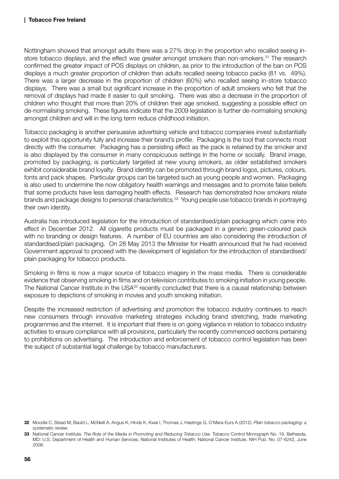Nottingham showed that amongst adults there was a 27% drop in the proportion who recalled seeing instore tobacco displays, and the effect was greater amongst smokers than non-smokers.<sup>31</sup> The research confirmed the greater impact of POS displays on children, as prior to the introduction of the ban on POS displays a much greater proportion of children than adults recalled seeing tobacco packs (81 vs. 49%). There was a larger decrease in the proportion of children (60%) who recalled seeing in-store tobacco displays. There was a small but significant increase in the proportion of adult smokers who felt that the removal of displays had made it easier to quit smoking. There was also a decrease in the proportion of children who thought that more than 20% of children their age smoked, suggesting a possible effect on de-normalising smoking. These figures indicate that the 2009 legislation is further de-normalising smoking amongst children and will in the long term reduce childhood initiation.

Tobacco packaging is another persuasive advertising vehicle and tobacco companies invest substantially to exploit this opportunity fully and increase their brand's profile. Packaging is the tool that connects most directly with the consumer. Packaging has a persisting effect as the pack is retained by the smoker and is also displayed by the consumer in many conspicuous settings in the home or socially. Brand image, promoted by packaging, is particularly targeted at new young smokers, as older established smokers exhibit considerable brand loyalty. Brand identity can be promoted through brand logos, pictures, colours, fonts and pack shapes. Particular groups can be targeted such as young people and women. Packaging is also used to undermine the now obligatory health warnings and messages and to promote false beliefs that some products have less damaging health effects. Research has demonstrated how smokers relate brands and package designs to personal characteristics.<sup>32</sup> Young people use tobacco brands in portraying their own identity.

Australia has introduced legislation for the introduction of standardised/plain packaging which came into effect in December 2012. All cigarette products must be packaged in a generic green-coloured pack with no branding or design features. A number of EU countries are also considering the introduction of standardised/plain packaging. On 28 May 2013 the Minister for Health announced that he had received Government approval to proceed with the development of legislation for the introduction of standardised/ plain packaging for tobacco products.

Smoking in films is now a major source of tobacco imagery in the mass media. There is considerable evidence that observing smoking in films and on television contributes to smoking initiation in young people. The National Cancer Institute in the USA<sup>33</sup> recently concluded that there is a causal relationship between exposure to depictions of smoking in movies and youth smoking initiation.

Despite the increased restriction of advertising and promotion the tobacco industry continues to reach new consumers through innovative marketing strategies including brand stretching, trade marketing programmes and the internet. It is important that there is on going vigilance in relation to tobacco industry activities to ensure compliance with all provisions, particularly the recently commenced sections pertaining to prohibitions on advertising. The introduction and enforcement of tobacco control legislation has been the subject of substantial legal challenge by tobacco manufacturers.

<sup>32</sup> Moodie C, Stead M, Bauld L, McNeill A, Angus K, Hinds K, Kwai I, Thomas J, Hastings G, O'Mara-Eurs A (2012). *Plain tobacco packaging: a systematic review*.

<sup>33</sup> National Cancer Institute. *The Role of the Media in Promoting and Reducing Tobacco Use*. Tobacco Control Monograph No. 19. Bethesda, MD: U.S. Department of Health and Human Services, National Institutes of Health, National Cancer Institute. NIH Pub. No. 07-6242, June 2008.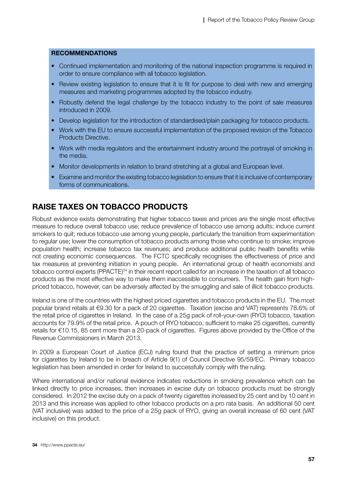#### RECOMMENDATIONS

- Continued implementation and monitoring of the national inspection programme is required in order to ensure compliance with all tobacco legislation.
- Review existing legislation to ensure that it is fit for purpose to deal with new and emerging measures and marketing programmes adopted by the tobacco industry.
- Robustly defend the legal challenge by the tobacco industry to the point of sale measures introduced in 2009.
- Develop legislation for the introduction of standardised/plain packaging for tobacco products.
- Work with the EU to ensure successful implementation of the proposed revision of the Tobacco Products Directive.
- Work with media regulators and the entertainment industry around the portrayal of smoking in the media.
- Monitor developments in relation to brand stretching at a global and European level.
- Examine and monitor the existing tobacco legislation to ensure that it is inclusive of contemporary forms of communications.

#### RAISE TAXES ON TOBACCO PRODUCTS

Robust evidence exists demonstrating that higher tobacco taxes and prices are the single most effective measure to reduce overall tobacco use; reduce prevalence of tobacco use among adults; induce current smokers to quit; reduce tobacco use among young people, particularly the transition from experimentation to regular use; lower the consumption of tobacco products among those who continue to smoke; improve population health; increase tobacco tax revenues; and produce additional public health benefits while not creating economic consequences. The FCTC specifically recognises the effectiveness of price and tax measures at preventing initiation in young people. An international group of health economists and tobacco control experts (PPACTE)<sup>34</sup> in their recent report called for an increase in the taxation of all tobacco products as the most effective way to make them inaccessible to consumers. The health gain from highpriced tobacco, however, can be adversely affected by the smuggling and sale of illicit tobacco products.

Ireland is one of the countries with the highest priced cigarettes and tobacco products in the EU. The most popular brand retails at €9.30 for a pack of 20 cigarettes. Taxation (excise and VAT) represents 78.6% of the retail price of cigarettes in Ireland. In the case of a 25g pack of roll-your-own (RYO) tobacco, taxation accounts for 79.9% of the retail price. A pouch of RYO tobacco, sufficient to make 25 cigarettes, currently retails for €10.15, 85 cent more than a 20-pack of cigarettes. Figures above provided by the Office of the Revenue Commissioners in March 2013.

In 2009 a European Court of Justice (ECJ) ruling found that the practice of setting a minimum price for cigarettes by Ireland to be in breach of Article 9(1) of Council Directive 95/59/EC. Primary tobacco legislation has been amended in order for Ireland to successfully comply with the ruling.

Where international and/or national evidence indicates reductions in smoking prevalence which can be linked directly to price increases, then increases in excise duty on tobacco products must be strongly considered. In 2012 the excise duty on a pack of twenty cigarettes increased by 25 cent and by 10 cent in 2013 and this increase was applied to other tobacco products on a pro rata basis. An additional 50 cent (VAT inclusive) was added to the price of a 25g pack of RYO, giving an overall increase of 60 cent (VAT inclusive) on this product.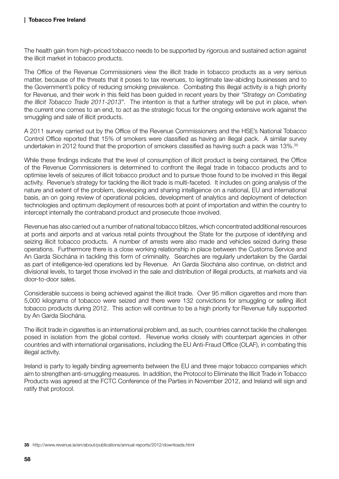The health gain from high-priced tobacco needs to be supported by rigorous and sustained action against the illicit market in tobacco products.

The Office of the Revenue Commissioners view the illicit trade in tobacco products as a very serious matter, because of the threats that it poses to tax revenues, to legitimate law-abiding businesses and to the Government's policy of reducing smoking prevalence. Combating this illegal activity is a high priority for Revenue, and their work in this field has been guided in recent years by their *"Strategy on Combating the Illicit Tobacco Trade 2011-2013"*. The intention is that a further strategy will be put in place, when the current one comes to an end, to act as the strategic focus for the ongoing extensive work against the smuggling and sale of illicit products.

A 2011 survey carried out by the Office of the Revenue Commissioners and the HSE's National Tobacco Control Office reported that 15% of smokers were classified as having an illegal pack. A similar survey undertaken in 2012 found that the proportion of smokers classified as having such a pack was 13%.<sup>35</sup>

While these findings indicate that the level of consumption of illicit product is being contained, the Office of the Revenue Commissioners is determined to confront the illegal trade in tobacco products and to optimise levels of seizures of illicit tobacco product and to pursue those found to be involved in this illegal activity. Revenue's strategy for tackling the illicit trade is multi-faceted. It includes on going analysis of the nature and extent of the problem, developing and sharing intelligence on a national, EU and international basis, an on going review of operational policies, development of analytics and deployment of detection technologies and optimum deployment of resources both at point of importation and within the country to intercept internally the contraband product and prosecute those involved.

Revenue has also carried out a number of national tobacco blitzes, which concentrated additional resources at ports and airports and at various retail points throughout the State for the purpose of identifying and seizing illicit tobacco products. A number of arrests were also made and vehicles seized during these operations. Furthermore there is a close working relationship in place between the Customs Service and An Garda Síochána in tackling this form of criminality. Searches are regularly undertaken by the Gardaí as part of intelligence-led operations led by Revenue. An Garda Síochána also continue, on district and divisional levels, to target those involved in the sale and distribution of illegal products, at markets and via door-to-door sales.

Considerable success is being achieved against the illicit trade. Over 95 million cigarettes and more than 5,000 kilograms of tobacco were seized and there were 132 convictions for smuggling or selling illicit tobacco products during 2012. This action will continue to be a high priority for Revenue fully supported by An Garda Síochána.

The illicit trade in cigarettes is an international problem and, as such, countries cannot tackle the challenges posed in isolation from the global context. Revenue works closely with counterpart agencies in other countries and with international organisations, including the EU Anti-Fraud Office (OLAF), in combating this illegal activity.

Ireland is party to legally binding agreements between the EU and three major tobacco companies which aim to strengthen anti-smuggling measures. In addition, the Protocol to Eliminate the Illicit Trade in Tobacco Products was agreed at the FCTC Conference of the Parties in November 2012, and Ireland will sign and ratify that protocol.

35 http://www.revenue.ie/en/about/publications/annual-reports/2012/downloads.html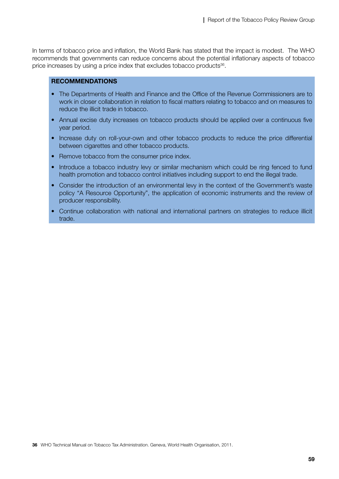In terms of tobacco price and inflation, the World Bank has stated that the impact is modest. The WHO recommends that governments can reduce concerns about the potential inflationary aspects of tobacco price increases by using a price index that excludes tobacco products<sup>36</sup>.

#### RECOMMENDATIONS

- The Departments of Health and Finance and the Office of the Revenue Commissioners are to work in closer collaboration in relation to fiscal matters relating to tobacco and on measures to reduce the illicit trade in tobacco.
- Annual excise duty increases on tobacco products should be applied over a continuous five year period.
- Increase duty on roll-your-own and other tobacco products to reduce the price differential between cigarettes and other tobacco products.
- Remove tobacco from the consumer price index.
- Introduce a tobacco industry levy or similar mechanism which could be ring fenced to fund health promotion and tobacco control initiatives including support to end the illegal trade.
- Consider the introduction of an environmental levy in the context of the Government's waste policy "A Resource Opportunity", the application of economic instruments and the review of producer responsibility.
- Continue collaboration with national and international partners on strategies to reduce illicit trade.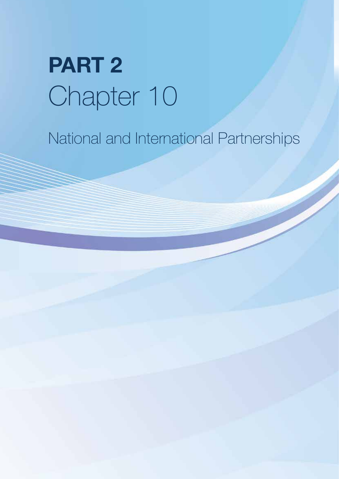## PART<sub>2</sub> Chapter 10

National and International Partnerships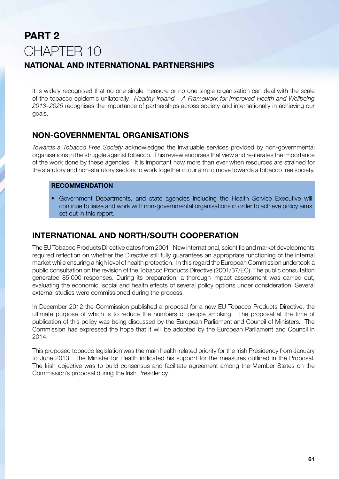## PART 2 CHAPTER 10

#### NATIONAL AND INTERNATIONAL PARTNERSHIPS

It is widely recognised that no one single measure or no one single organisation can deal with the scale of the tobacco epidemic unilaterally. *Healthy Ireland – A Framework for Improved Health and Wellbeing 2013–2025* recognises the importance of partnerships across society and internationally in achieving our goals.

#### NON-GOVERNMENTAL ORGANISATIONS

*Towards a Tobacco Free Society* acknowledged the invaluable services provided by non-governmental organisations in the struggle against tobacco. This review endorses that view and re-iterates the importance of the work done by these agencies. It is important now more than ever when resources are strained for the statutory and non-statutory sectors to work together in our aim to move towards a tobacco free society.

#### **RECOMMENDATION**

• Government Departments, and state agencies including the Health Service Executive will continue to liaise and work with non-governmental organisations in order to achieve policy aims set out in this report.

#### INTERNATIONAL AND NORTH/SOUTH COOPERATION

The EU Tobacco Products Directive dates from 2001. New international, scientific and market developments required reflection on whether the Directive still fully guarantees an appropriate functioning of the internal market while ensuring a high level of health protection. In this regard the European Commission undertook a public consultation on the revision of the Tobacco Products Directive (2001/37/EC). The public consultation generated 85,000 responses. During its preparation, a thorough impact assessment was carried out, evaluating the economic, social and health effects of several policy options under consideration. Several external studies were commissioned during the process.

In December 2012 the Commission published a proposal for a new EU Tobacco Products Directive, the ultimate purpose of which is to reduce the numbers of people smoking. The proposal at the time of publication of this policy was being discussed by the European Parliament and Council of Ministers. The Commission has expressed the hope that it will be adopted by the European Parliament and Council in 2014.

This proposed tobacco legislation was the main health-related priority for the Irish Presidency from January to June 2013. The Minister for Health indicated his support for the measures outlined in the Proposal. The Irish objective was to build consensus and facilitate agreement among the Member States on the Commission's proposal during the Irish Presidency.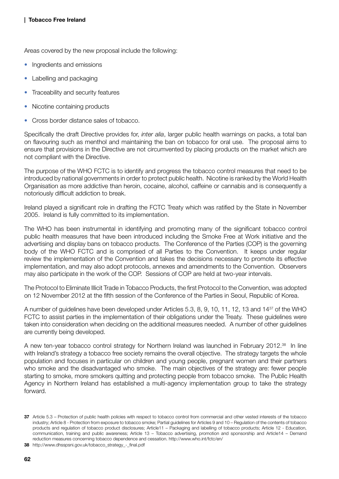Areas covered by the new proposal include the following:

- Ingredients and emissions
- Labelling and packaging
- Traceability and security features
- Nicotine containing products
- Cross border distance sales of tobacco.

Specifically the draft Directive provides for, *inter alia*, larger public health warnings on packs, a total ban on flavouring such as menthol and maintaining the ban on tobacco for oral use. The proposal aims to ensure that provisions in the Directive are not circumvented by placing products on the market which are not compliant with the Directive.

The purpose of the WHO FCTC is to identify and progress the tobacco control measures that need to be introduced by national governments in order to protect public health. Nicotine is ranked by the World Health Organisation as more addictive than heroin, cocaine, alcohol, caffeine or cannabis and is consequently a notoriously difficult addiction to break.

Ireland played a significant role in drafting the FCTC Treaty which was ratified by the State in November 2005. Ireland is fully committed to its implementation.

The WHO has been instrumental in identifying and promoting many of the significant tobacco control public health measures that have been introduced including the Smoke Free at Work initiative and the advertising and display bans on tobacco products. The Conference of the Parties (COP) is the governing body of the WHO FCTC and is comprised of all Parties to the Convention. It keeps under regular review the implementation of the Convention and takes the decisions necessary to promote its effective implementation, and may also adopt protocols, annexes and amendments to the Convention. Observers may also participate in the work of the COP. Sessions of COP are held at two-year intervals.

The Protocol to Eliminate Illicit Trade in Tobacco Products, the first Protocol to the Convention, was adopted on 12 November 2012 at the fifth session of the Conference of the Parties in Seoul, Republic of Korea.

A number of guidelines have been developed under Articles 5.3, 8, 9, 10, 11, 12, 13 and 1437 of the WHO FCTC to assist parties in the implementation of their obligations under the Treaty. These guidelines were taken into consideration when deciding on the additional measures needed. A number of other guidelines are currently being developed.

A new ten-year tobacco control strategy for Northern Ireland was launched in February 2012.38 In line with Ireland's strategy a tobacco free society remains the overall objective. The strategy targets the whole population and focuses in particular on children and young people, pregnant women and their partners who smoke and the disadvantaged who smoke. The main objectives of the strategy are: fewer people starting to smoke, more smokers quitting and protecting people from tobacco smoke. The Public Health Agency in Northern Ireland has established a multi-agency implementation group to take the strategy forward.

<sup>37</sup> Article 5.3 – Protection of public health policies with respect to tobacco control from commercial and other vested interests of the tobacco industry; Article 8 - Protection from exposure to tobacco smoke; Partial guidelines for Articles 9 and 10 – Regulation of the contents of tobacco products and regulation of tobacco product disclosures; Article11 – Packaging and labelling of tobacco products; Article 12 - Education, communication, training and public awareness; Article 13 – Tobacco advertising, promotion and sponsorship and Article14 – Demand reduction measures concerning tobacco dependence and cessation. http://www.who.int/fctc/en/

<sup>38</sup> http://www.dhsspsni.gov.uk/tobacco\_strategy\_-\_final.pdf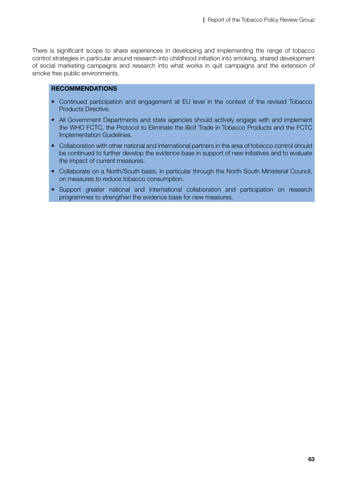There is significant scope to share experiences in developing and implementing the range of tobacco control strategies in particular around research into childhood initiation into smoking, shared development of social marketing campaigns and research into what works in quit campaigns and the extension of smoke free public environments.

#### RECOMMENDATIONS

- Continued participation and engagement at EU level in the context of the revised Tobacco Products Directive.
- All Government Departments and state agencies should actively engage with and implement the WHO FCTC, the Protocol to Eliminate the Illicit Trade in Tobacco Products and the FCTC Implementation Guidelines.
- Collaboration with other national and international partners in the area of tobacco control should be continued to further develop the evidence base in support of new initiatives and to evaluate the impact of current measures.
- Collaborate on a North/South basis, in particular through the North South Ministerial Council, on measures to reduce tobacco consumption.
- Support greater national and international collaboration and participation on research programmes to strengthen the evidence base for new measures.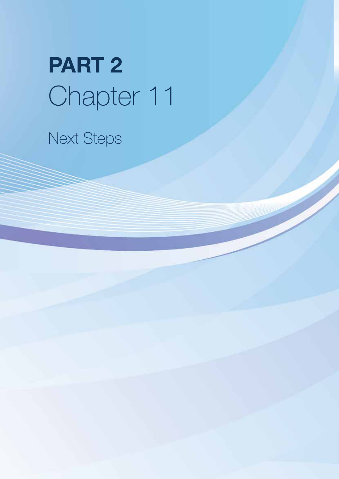# PART 2 Chapter 11

Next Steps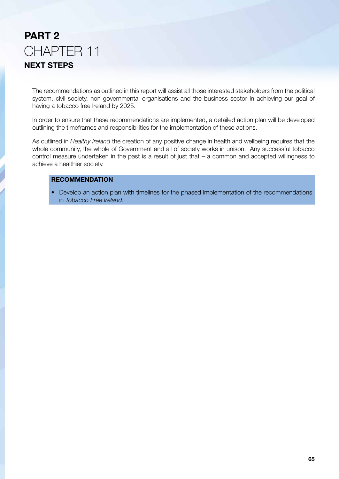## PART 2 CHAPTER 11 NEXT STEPS

The recommendations as outlined in this report will assist all those interested stakeholders from the political system, civil society, non-governmental organisations and the business sector in achieving our goal of having a tobacco free Ireland by 2025.

In order to ensure that these recommendations are implemented, a detailed action plan will be developed outlining the timeframes and responsibilities for the implementation of these actions.

As outlined in *Healthy Ireland* the creation of any positive change in health and wellbeing requires that the whole community, the whole of Government and all of society works in unison. Any successful tobacco control measure undertaken in the past is a result of just that – a common and accepted willingness to achieve a healthier society.

#### **RECOMMENDATION**

• Develop an action plan with timelines for the phased implementation of the recommendations in *Tobacco Free Ireland*.